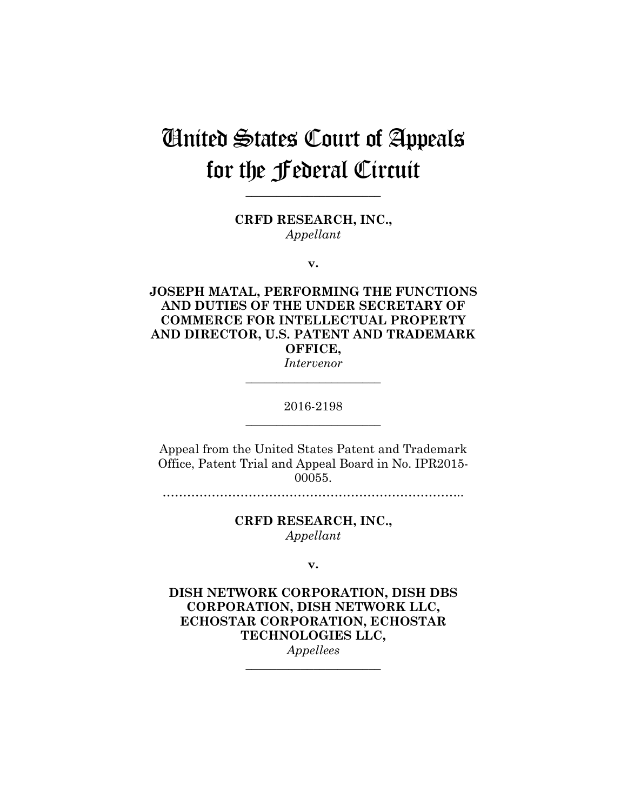# United States Court of Appeals for the Federal Circuit

**CRFD RESEARCH, INC.,** *Appellant*

**\_\_\_\_\_\_\_\_\_\_\_\_\_\_\_\_\_\_\_\_\_\_** 

**v.**

**JOSEPH MATAL, PERFORMING THE FUNCTIONS AND DUTIES OF THE UNDER SECRETARY OF COMMERCE FOR INTELLECTUAL PROPERTY AND DIRECTOR, U.S. PATENT AND TRADEMARK OFFICE,**

*Intervenor* **\_\_\_\_\_\_\_\_\_\_\_\_\_\_\_\_\_\_\_\_\_\_** 

2016-2198 **\_\_\_\_\_\_\_\_\_\_\_\_\_\_\_\_\_\_\_\_\_\_** 

Appeal from the United States Patent and Trademark Office, Patent Trial and Appeal Board in No. IPR2015- 00055.

*………………………………………………………………..* 

**CRFD RESEARCH, INC.,** *Appellant*

**v.**

**DISH NETWORK CORPORATION, DISH DBS CORPORATION, DISH NETWORK LLC, ECHOSTAR CORPORATION, ECHOSTAR TECHNOLOGIES LLC,** *Appellees*

**\_\_\_\_\_\_\_\_\_\_\_\_\_\_\_\_\_\_\_\_\_\_**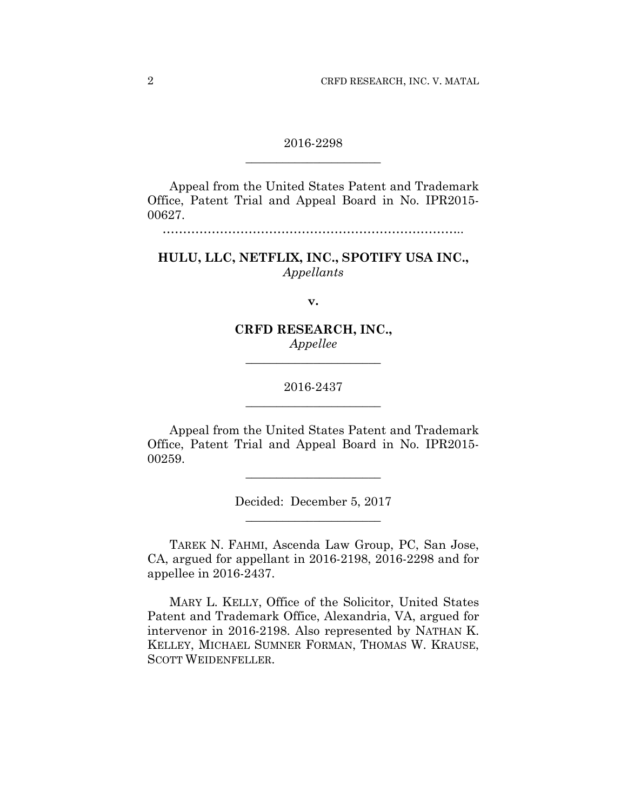## 2016-2298 **\_\_\_\_\_\_\_\_\_\_\_\_\_\_\_\_\_\_\_\_\_\_**

Appeal from the United States Patent and Trademark Office, Patent Trial and Appeal Board in No. IPR2015- 00627.

*………………………………………………………………..* 

## **HULU, LLC, NETFLIX, INC., SPOTIFY USA INC.,** *Appellants*

**v.**

## **CRFD RESEARCH, INC.,** *Appellee*

**\_\_\_\_\_\_\_\_\_\_\_\_\_\_\_\_\_\_\_\_\_\_** 

# 2016-2437 **\_\_\_\_\_\_\_\_\_\_\_\_\_\_\_\_\_\_\_\_\_\_**

Appeal from the United States Patent and Trademark Office, Patent Trial and Appeal Board in No. IPR2015- 00259.

> Decided: December 5, 2017 **\_\_\_\_\_\_\_\_\_\_\_\_\_\_\_\_\_\_\_\_\_\_**

**\_\_\_\_\_\_\_\_\_\_\_\_\_\_\_\_\_\_\_\_\_\_** 

TAREK N. FAHMI, Ascenda Law Group, PC, San Jose, CA, argued for appellant in 2016-2198, 2016-2298 and for appellee in 2016-2437.

MARY L. KELLY, Office of the Solicitor, United States Patent and Trademark Office, Alexandria, VA, argued for intervenor in 2016-2198. Also represented by NATHAN K. KELLEY, MICHAEL SUMNER FORMAN, THOMAS W. KRAUSE, SCOTT WEIDENFELLER.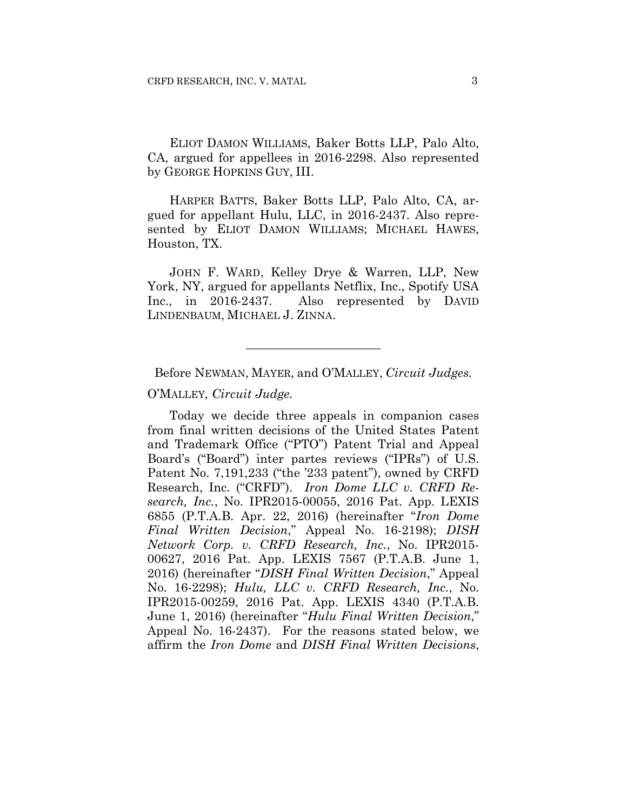ELIOT DAMON WILLIAMS, Baker Botts LLP, Palo Alto, CA, argued for appellees in 2016-2298. Also represented by GEORGE HOPKINS GUY, III.

HARPER BATTS, Baker Botts LLP, Palo Alto, CA, argued for appellant Hulu, LLC, in 2016-2437. Also represented by ELIOT DAMON WILLIAMS; MICHAEL HAWES, Houston, TX.

JOHN F. WARD, Kelley Drye & Warren, LLP, New York, NY, argued for appellants Netflix, Inc., Spotify USA Inc., in 2016-2437. Also represented by DAVID LINDENBAUM, MICHAEL J. ZINNA.

Before NEWMAN, MAYER, and O'MALLEY, *Circuit Judges.*

**\_\_\_\_\_\_\_\_\_\_\_\_\_\_\_\_\_\_\_\_\_\_** 

O'MALLEY*, Circuit Judge.*

Today we decide three appeals in companion cases from final written decisions of the United States Patent and Trademark Office ("PTO") Patent Trial and Appeal Board's ("Board") inter partes reviews ("IPRs") of U.S. Patent No. 7,191,233 ("the '233 patent"), owned by CRFD Research, Inc. ("CRFD"). *Iron Dome LLC v. CRFD Research, Inc.*, No. IPR2015-00055, 2016 Pat. App. LEXIS 6855 (P.T.A.B. Apr. 22, 2016) (hereinafter "*Iron Dome Final Written Decision*," Appeal No. 16-2198); *DISH Network Corp. v. CRFD Research, Inc.*, No. IPR2015- 00627, 2016 Pat. App. LEXIS 7567 (P.T.A.B. June 1, 2016) (hereinafter "*DISH Final Written Decision*," Appeal No. 16-2298); *Hulu, LLC v. CRFD Research, Inc.*, No. IPR2015-00259, 2016 Pat. App. LEXIS 4340 (P.T.A.B. June 1, 2016) (hereinafter "*Hulu Final Written Decision*," Appeal No. 16-2437). For the reasons stated below, we affirm the *Iron Dome* and *DISH Final Written Decisions*,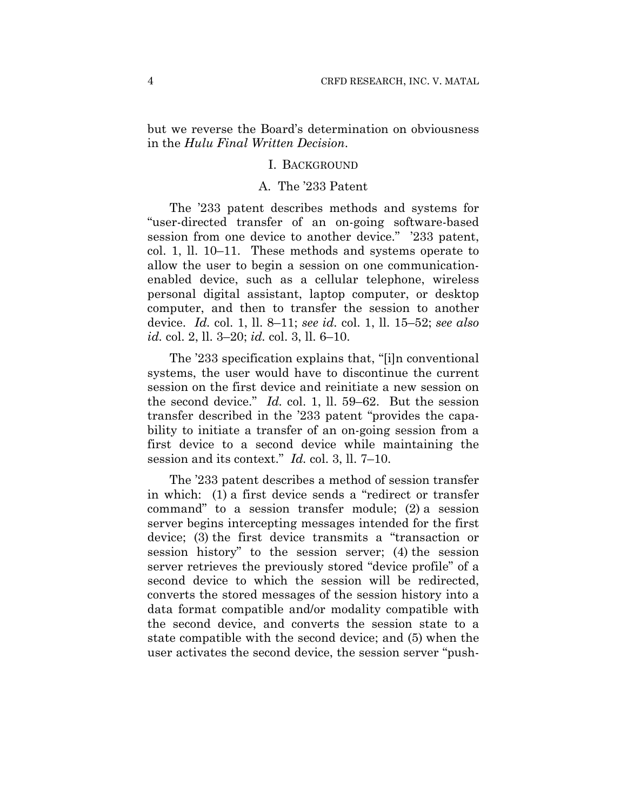but we reverse the Board's determination on obviousness in the *Hulu Final Written Decision*.

#### I. BACKGROUND

## A. The '233 Patent

The '233 patent describes methods and systems for "user-directed transfer of an on-going software-based session from one device to another device." '233 patent, col. 1, ll. 10–11. These methods and systems operate to allow the user to begin a session on one communicationenabled device, such as a cellular telephone, wireless personal digital assistant, laptop computer, or desktop computer, and then to transfer the session to another device. *Id.* col. 1, ll. 8–11; *see id.* col. 1, ll. 15–52; *see also id.* col. 2, ll. 3–20; *id.* col. 3, ll. 6–10.

The '233 specification explains that, "[i]n conventional systems, the user would have to discontinue the current session on the first device and reinitiate a new session on the second device." *Id.* col. 1, ll. 59–62. But the session transfer described in the '233 patent "provides the capability to initiate a transfer of an on-going session from a first device to a second device while maintaining the session and its context." *Id.* col. 3, ll. 7–10.

The '233 patent describes a method of session transfer in which: (1) a first device sends a "redirect or transfer command" to a session transfer module; (2) a session server begins intercepting messages intended for the first device; (3) the first device transmits a "transaction or session history" to the session server; (4) the session server retrieves the previously stored "device profile" of a second device to which the session will be redirected, converts the stored messages of the session history into a data format compatible and/or modality compatible with the second device, and converts the session state to a state compatible with the second device; and (5) when the user activates the second device, the session server "push-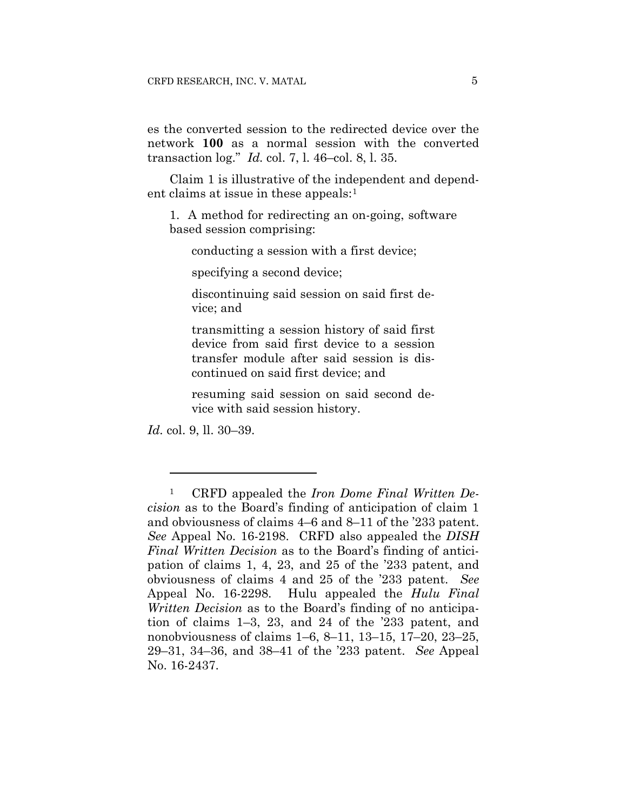es the converted session to the redirected device over the network **100** as a normal session with the converted transaction log." *Id.* col. 7, l. 46–col. 8, l. 35.

Claim 1 is illustrative of the independent and dependent claims at issue in these appeals:<sup>1</sup>

1. A method for redirecting an on-going, software based session comprising:

conducting a session with a first device;

specifying a second device;

discontinuing said session on said first device; and

transmitting a session history of said first device from said first device to a session transfer module after said session is discontinued on said first device; and

resuming said session on said second device with said session history.

*Id.* col. 9, ll. 30–39.

<u>.</u>

<sup>1</sup> CRFD appealed the *Iron Dome Final Written Decision* as to the Board's finding of anticipation of claim 1 and obviousness of claims 4–6 and 8–11 of the '233 patent. *See* Appeal No. 16-2198. CRFD also appealed the *DISH Final Written Decision* as to the Board's finding of anticipation of claims 1, 4, 23, and 25 of the '233 patent, and obviousness of claims 4 and 25 of the '233 patent. *See*  Appeal No. 16-2298. Hulu appealed the *Hulu Final Written Decision* as to the Board's finding of no anticipation of claims 1–3, 23, and 24 of the '233 patent, and nonobviousness of claims 1–6, 8–11, 13–15, 17–20, 23–25, 29–31, 34–36, and 38–41 of the '233 patent. *See* Appeal No. 16-2437.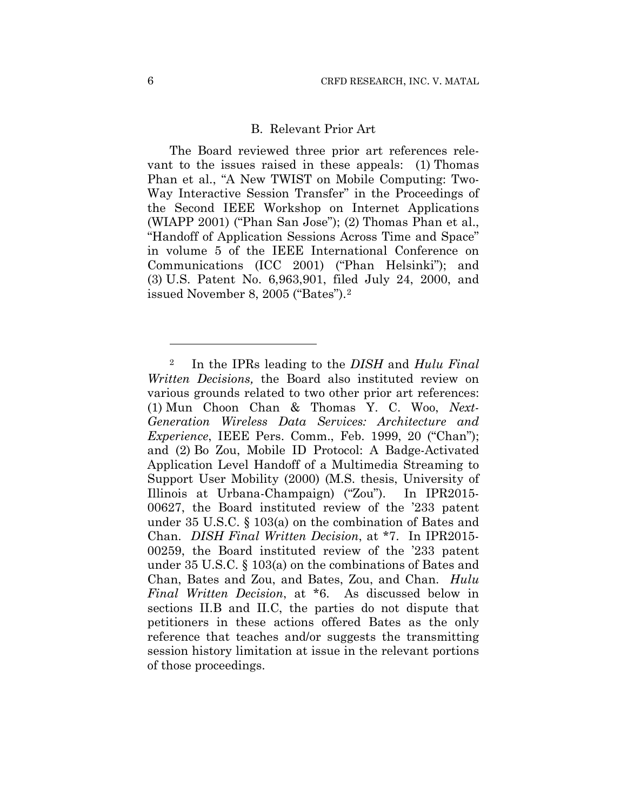## B. Relevant Prior Art

The Board reviewed three prior art references relevant to the issues raised in these appeals: (1) Thomas Phan et al., "A New TWIST on Mobile Computing: Two-Way Interactive Session Transfer" in the Proceedings of the Second IEEE Workshop on Internet Applications (WIAPP 2001) ("Phan San Jose"); (2) Thomas Phan et al., "Handoff of Application Sessions Across Time and Space" in volume 5 of the IEEE International Conference on Communications (ICC 2001) ("Phan Helsinki"); and (3) U.S. Patent No. 6,963,901, filed July 24, 2000, and issued November 8, 2005 ("Bates").2

<u>.</u>

<sup>2</sup> In the IPRs leading to the *DISH* and *Hulu Final Written Decisions,* the Board also instituted review on various grounds related to two other prior art references: (1) Mun Choon Chan & Thomas Y. C. Woo, *Next-Generation Wireless Data Services: Architecture and Experience*, IEEE Pers. Comm., Feb. 1999, 20 ("Chan"); and (2) Bo Zou, Mobile ID Protocol: A Badge-Activated Application Level Handoff of a Multimedia Streaming to Support User Mobility (2000) (M.S. thesis, University of Illinois at Urbana-Champaign) ("Zou"). In IPR2015- 00627, the Board instituted review of the '233 patent under 35 U.S.C. § 103(a) on the combination of Bates and Chan. *DISH Final Written Decision*, at \*7. In IPR2015- 00259, the Board instituted review of the '233 patent under 35 U.S.C. § 103(a) on the combinations of Bates and Chan, Bates and Zou, and Bates, Zou, and Chan. *Hulu Final Written Decision*, at \*6. As discussed below in sections II.B and II.C, the parties do not dispute that petitioners in these actions offered Bates as the only reference that teaches and/or suggests the transmitting session history limitation at issue in the relevant portions of those proceedings.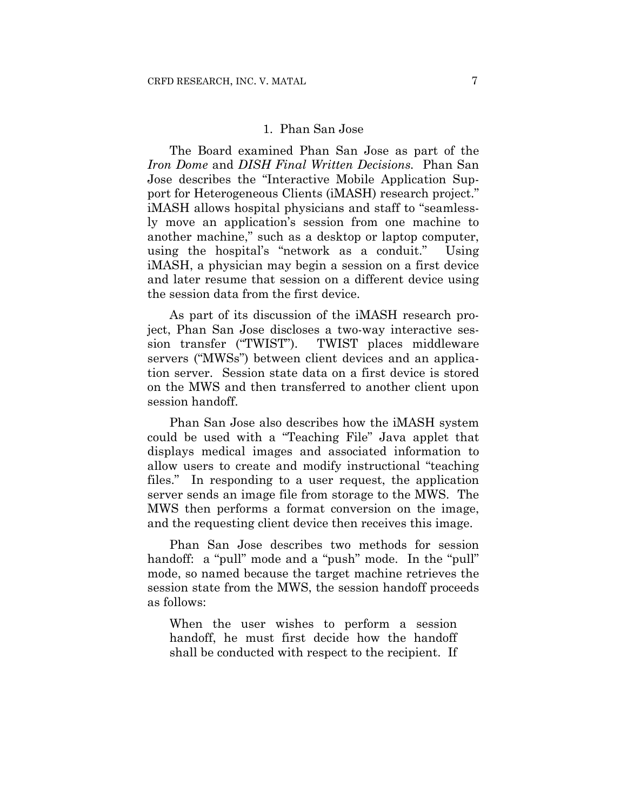## 1. Phan San Jose

The Board examined Phan San Jose as part of the *Iron Dome* and *DISH Final Written Decisions.* Phan San Jose describes the "Interactive Mobile Application Support for Heterogeneous Clients (iMASH) research project." iMASH allows hospital physicians and staff to "seamlessly move an application's session from one machine to another machine," such as a desktop or laptop computer, using the hospital's "network as a conduit." Using iMASH, a physician may begin a session on a first device and later resume that session on a different device using the session data from the first device.

As part of its discussion of the iMASH research project, Phan San Jose discloses a two-way interactive session transfer ("TWIST"). TWIST places middleware servers ("MWSs") between client devices and an application server. Session state data on a first device is stored on the MWS and then transferred to another client upon session handoff.

Phan San Jose also describes how the iMASH system could be used with a "Teaching File" Java applet that displays medical images and associated information to allow users to create and modify instructional "teaching files." In responding to a user request, the application server sends an image file from storage to the MWS. The MWS then performs a format conversion on the image, and the requesting client device then receives this image.

Phan San Jose describes two methods for session handoff: a "pull" mode and a "push" mode. In the "pull" mode, so named because the target machine retrieves the session state from the MWS, the session handoff proceeds as follows:

When the user wishes to perform a session handoff, he must first decide how the handoff shall be conducted with respect to the recipient. If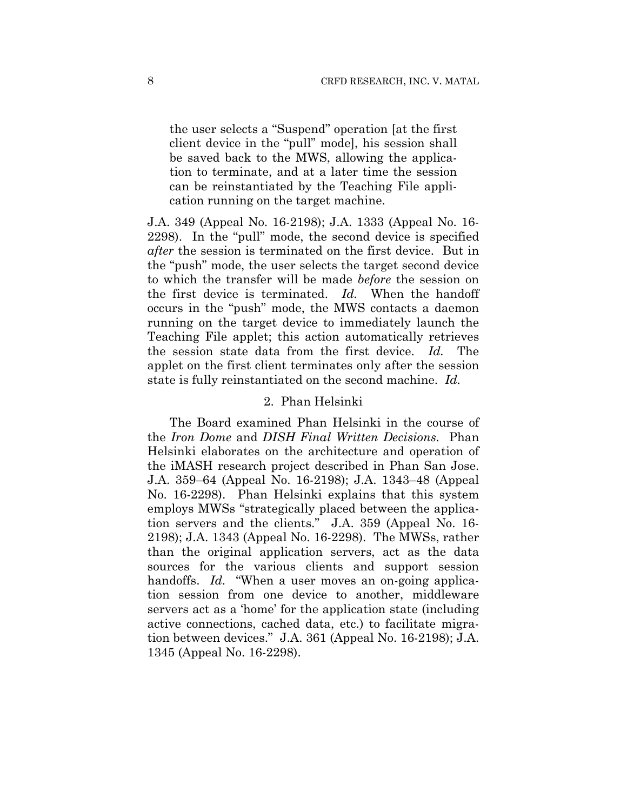the user selects a "Suspend" operation [at the first client device in the "pull" mode], his session shall be saved back to the MWS, allowing the application to terminate, and at a later time the session can be reinstantiated by the Teaching File application running on the target machine.

J.A. 349 (Appeal No. 16-2198); J.A. 1333 (Appeal No. 16- 2298). In the "pull" mode, the second device is specified *after* the session is terminated on the first device. But in the "push" mode, the user selects the target second device to which the transfer will be made *before* the session on the first device is terminated. *Id.* When the handoff occurs in the "push" mode, the MWS contacts a daemon running on the target device to immediately launch the Teaching File applet; this action automatically retrieves the session state data from the first device. *Id.* The applet on the first client terminates only after the session state is fully reinstantiated on the second machine. *Id.*

#### 2. Phan Helsinki

The Board examined Phan Helsinki in the course of the *Iron Dome* and *DISH Final Written Decisions.* Phan Helsinki elaborates on the architecture and operation of the iMASH research project described in Phan San Jose. J.A. 359–64 (Appeal No. 16-2198); J.A. 1343–48 (Appeal No. 16-2298). Phan Helsinki explains that this system employs MWSs "strategically placed between the application servers and the clients." J.A. 359 (Appeal No. 16- 2198); J.A. 1343 (Appeal No. 16-2298). The MWSs, rather than the original application servers, act as the data sources for the various clients and support session handoffs. *Id.* "When a user moves an on-going application session from one device to another, middleware servers act as a 'home' for the application state (including active connections, cached data, etc.) to facilitate migration between devices." J.A. 361 (Appeal No. 16-2198); J.A. 1345 (Appeal No. 16-2298).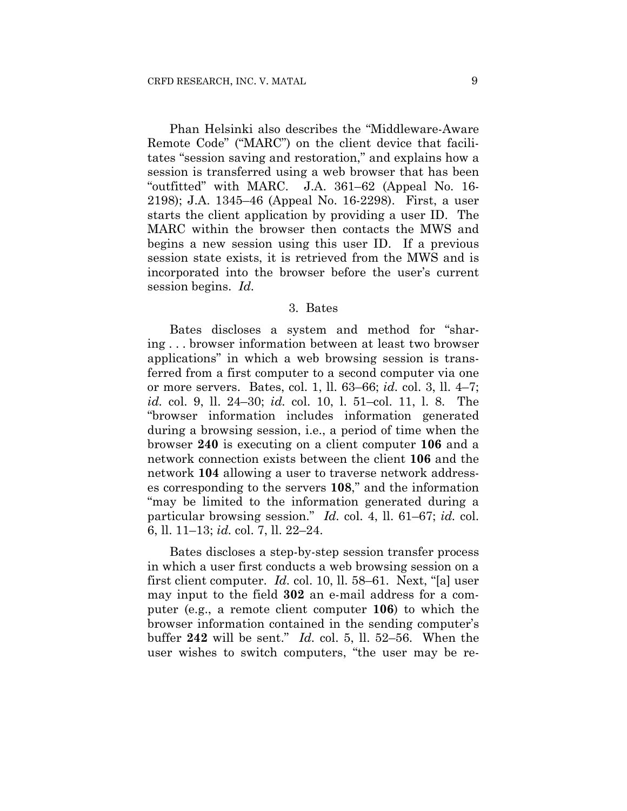Phan Helsinki also describes the "Middleware-Aware Remote Code" ("MARC") on the client device that facilitates "session saving and restoration," and explains how a session is transferred using a web browser that has been "outfitted" with MARC. J.A. 361–62 (Appeal No. 16- 2198); J.A. 1345–46 (Appeal No. 16-2298). First, a user starts the client application by providing a user ID. The MARC within the browser then contacts the MWS and begins a new session using this user ID. If a previous session state exists, it is retrieved from the MWS and is incorporated into the browser before the user's current session begins. *Id.*

#### 3. Bates

Bates discloses a system and method for "sharing . . . browser information between at least two browser applications" in which a web browsing session is transferred from a first computer to a second computer via one or more servers. Bates, col. 1, ll. 63–66; *id.* col. 3, ll. 4–7; *id.* col. 9, ll. 24–30; *id.* col. 10, l. 51–col. 11, l. 8. The "browser information includes information generated during a browsing session, i.e., a period of time when the browser **240** is executing on a client computer **106** and a network connection exists between the client **106** and the network **104** allowing a user to traverse network addresses corresponding to the servers **108**," and the information "may be limited to the information generated during a particular browsing session." *Id.* col. 4, ll. 61–67; *id.* col. 6, ll. 11–13; *id.* col. 7, ll. 22–24.

Bates discloses a step-by-step session transfer process in which a user first conducts a web browsing session on a first client computer. *Id.* col. 10, ll. 58–61. Next, "[a] user may input to the field **302** an e-mail address for a computer (e.g., a remote client computer **106**) to which the browser information contained in the sending computer's buffer **242** will be sent." *Id.* col. 5, ll. 52–56. When the user wishes to switch computers, "the user may be re-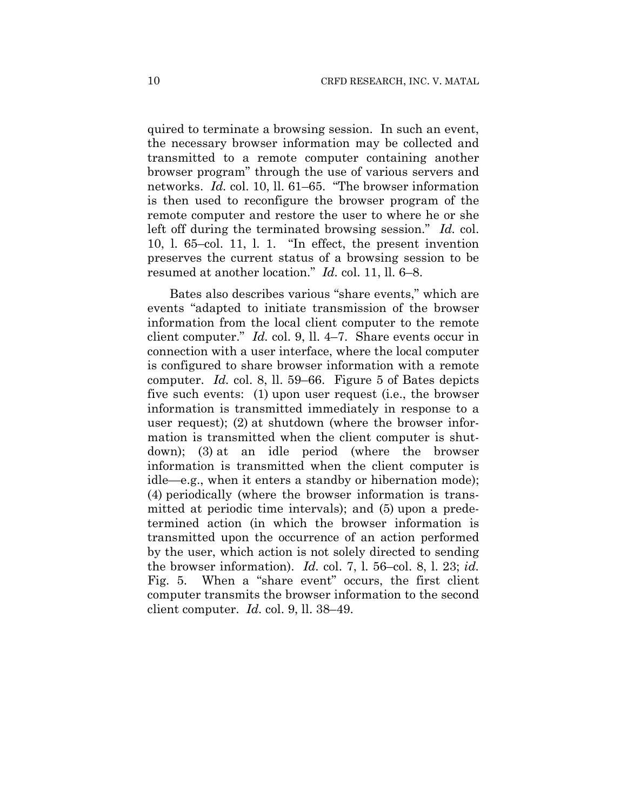quired to terminate a browsing session. In such an event, the necessary browser information may be collected and transmitted to a remote computer containing another browser program" through the use of various servers and networks. *Id.* col. 10, ll. 61–65. "The browser information is then used to reconfigure the browser program of the remote computer and restore the user to where he or she left off during the terminated browsing session." *Id.* col. 10, l. 65–col. 11, l. 1. "In effect, the present invention preserves the current status of a browsing session to be resumed at another location." *Id.* col. 11, ll. 6–8.

Bates also describes various "share events," which are events "adapted to initiate transmission of the browser information from the local client computer to the remote client computer." *Id.* col. 9, ll. 4–7. Share events occur in connection with a user interface, where the local computer is configured to share browser information with a remote computer. *Id.* col. 8, ll. 59–66. Figure 5 of Bates depicts five such events: (1) upon user request (i.e., the browser information is transmitted immediately in response to a user request); (2) at shutdown (where the browser information is transmitted when the client computer is shutdown); (3) at an idle period (where the browser information is transmitted when the client computer is idle—e.g., when it enters a standby or hibernation mode); (4) periodically (where the browser information is transmitted at periodic time intervals); and (5) upon a predetermined action (in which the browser information is transmitted upon the occurrence of an action performed by the user, which action is not solely directed to sending the browser information). *Id.* col. 7, l. 56–col. 8, l. 23; *id.* Fig. 5. When a "share event" occurs, the first client computer transmits the browser information to the second client computer. *Id.* col. 9, ll. 38–49.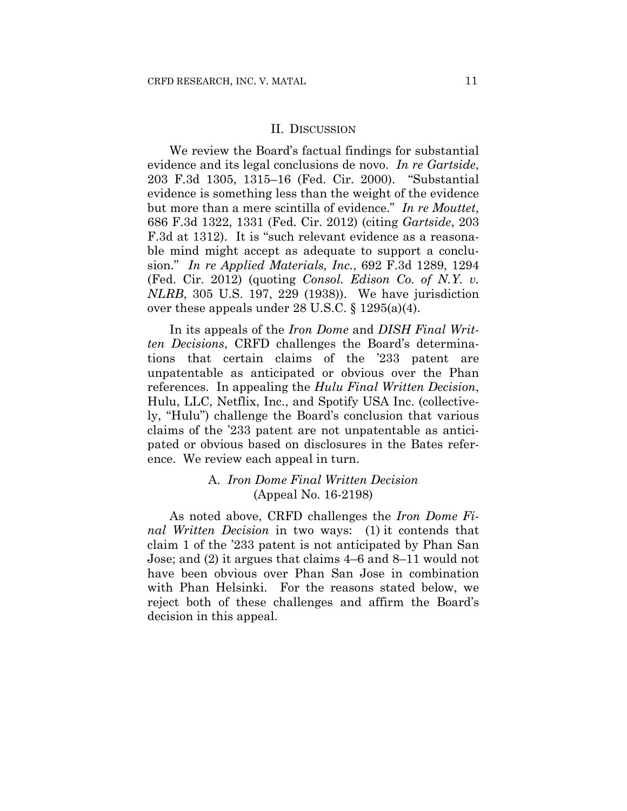#### II. DISCUSSION

We review the Board's factual findings for substantial evidence and its legal conclusions de novo. *In re Gartside*, 203 F.3d 1305, 1315–16 (Fed. Cir. 2000). "Substantial evidence is something less than the weight of the evidence but more than a mere scintilla of evidence." *In re Mouttet*, 686 F.3d 1322, 1331 (Fed. Cir. 2012) (citing *Gartside*, 203 F.3d at 1312). It is "such relevant evidence as a reasonable mind might accept as adequate to support a conclusion." *In re Applied Materials, Inc.*, 692 F.3d 1289, 1294 (Fed. Cir. 2012) (quoting *Consol. Edison Co. of N.Y. v. NLRB*, 305 U.S. 197, 229 (1938)). We have jurisdiction over these appeals under 28 U.S.C. § 1295(a)(4).

In its appeals of the *Iron Dome* and *DISH Final Written Decisions*, CRFD challenges the Board's determinations that certain claims of the '233 patent are unpatentable as anticipated or obvious over the Phan references. In appealing the *Hulu Final Written Decision*, Hulu, LLC, Netflix, Inc., and Spotify USA Inc. (collectively, "Hulu") challenge the Board's conclusion that various claims of the '233 patent are not unpatentable as anticipated or obvious based on disclosures in the Bates reference. We review each appeal in turn.

## A. *Iron Dome Final Written Decision*  (Appeal No. 16-2198)

As noted above, CRFD challenges the *Iron Dome Final Written Decision* in two ways: (1) it contends that claim 1 of the '233 patent is not anticipated by Phan San Jose; and (2) it argues that claims 4–6 and 8–11 would not have been obvious over Phan San Jose in combination with Phan Helsinki. For the reasons stated below, we reject both of these challenges and affirm the Board's decision in this appeal.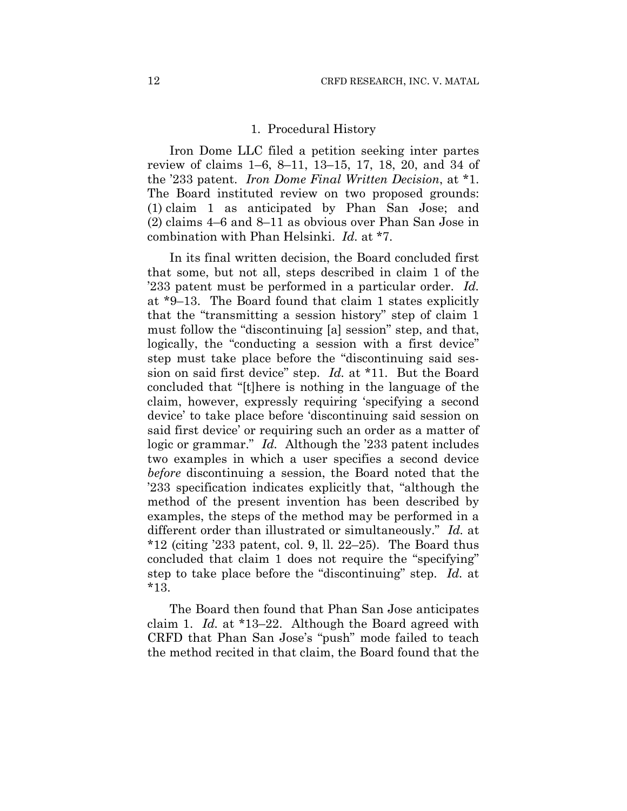#### 1. Procedural History

Iron Dome LLC filed a petition seeking inter partes review of claims 1–6, 8–11, 13–15, 17, 18, 20, and 34 of the '233 patent. *Iron Dome Final Written Decision*, at \*1. The Board instituted review on two proposed grounds: (1) claim 1 as anticipated by Phan San Jose; and (2) claims 4–6 and 8–11 as obvious over Phan San Jose in combination with Phan Helsinki. *Id.* at \*7.

In its final written decision, the Board concluded first that some, but not all, steps described in claim 1 of the '233 patent must be performed in a particular order. *Id.* at \*9–13. The Board found that claim 1 states explicitly that the "transmitting a session history" step of claim 1 must follow the "discontinuing [a] session" step, and that, logically, the "conducting a session with a first device" step must take place before the "discontinuing said session on said first device" step. *Id.* at \*11. But the Board concluded that "[t]here is nothing in the language of the claim, however, expressly requiring 'specifying a second device' to take place before 'discontinuing said session on said first device' or requiring such an order as a matter of logic or grammar." *Id.* Although the '233 patent includes two examples in which a user specifies a second device *before* discontinuing a session, the Board noted that the '233 specification indicates explicitly that, "although the method of the present invention has been described by examples, the steps of the method may be performed in a different order than illustrated or simultaneously." *Id.* at  $*12$  (citing '233 patent, col. 9, ll. 22–25). The Board thus concluded that claim 1 does not require the "specifying" step to take place before the "discontinuing" step. *Id.* at \*13.

The Board then found that Phan San Jose anticipates claim 1. *Id.* at \*13–22. Although the Board agreed with CRFD that Phan San Jose's "push" mode failed to teach the method recited in that claim, the Board found that the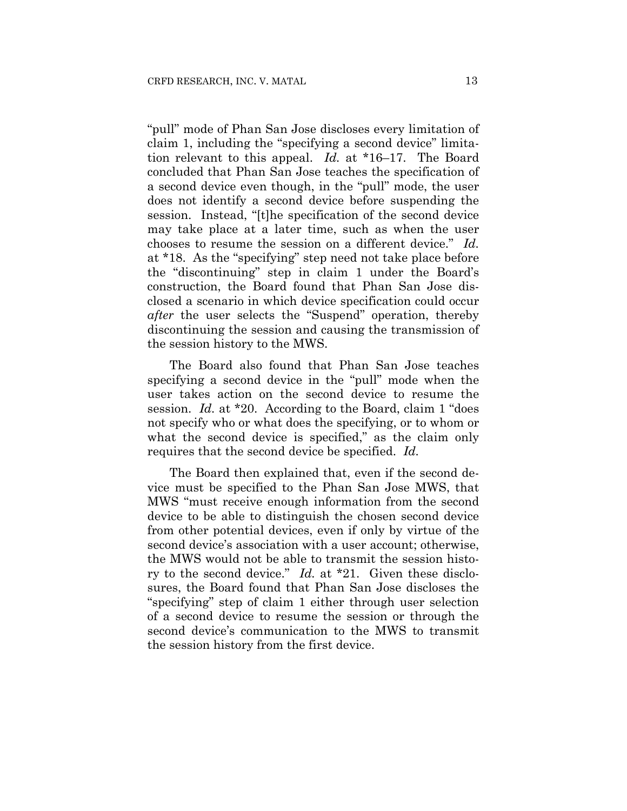"pull" mode of Phan San Jose discloses every limitation of claim 1, including the "specifying a second device" limitation relevant to this appeal. *Id.* at \*16–17. The Board concluded that Phan San Jose teaches the specification of a second device even though, in the "pull" mode, the user does not identify a second device before suspending the session. Instead, "[t]he specification of the second device may take place at a later time, such as when the user chooses to resume the session on a different device." *Id.* at \*18. As the "specifying" step need not take place before the "discontinuing" step in claim 1 under the Board's construction, the Board found that Phan San Jose disclosed a scenario in which device specification could occur *after* the user selects the "Suspend" operation, thereby discontinuing the session and causing the transmission of the session history to the MWS.

The Board also found that Phan San Jose teaches specifying a second device in the "pull" mode when the user takes action on the second device to resume the session. *Id.* at \*20. According to the Board, claim 1 "does not specify who or what does the specifying, or to whom or what the second device is specified," as the claim only requires that the second device be specified. *Id.*

The Board then explained that, even if the second device must be specified to the Phan San Jose MWS, that MWS "must receive enough information from the second device to be able to distinguish the chosen second device from other potential devices, even if only by virtue of the second device's association with a user account; otherwise, the MWS would not be able to transmit the session history to the second device." *Id.* at \*21. Given these disclosures, the Board found that Phan San Jose discloses the "specifying" step of claim 1 either through user selection of a second device to resume the session or through the second device's communication to the MWS to transmit the session history from the first device.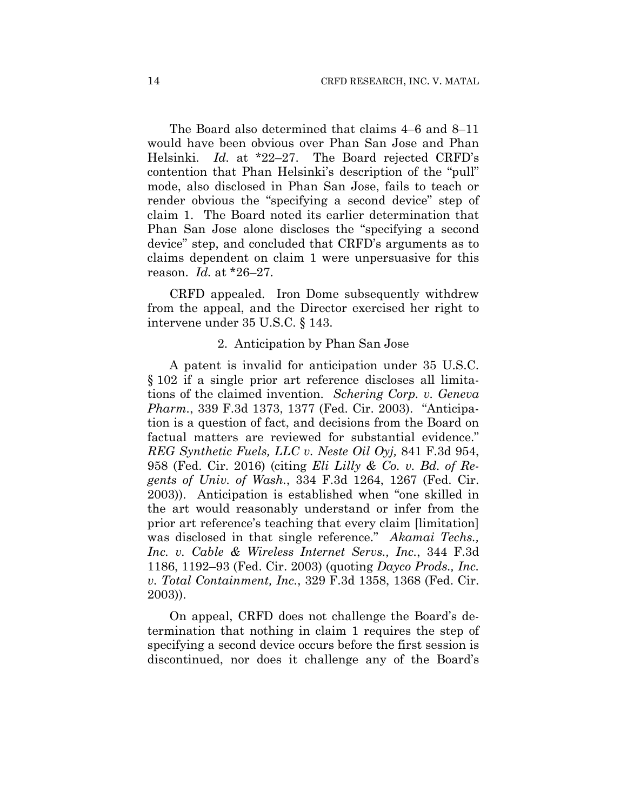The Board also determined that claims 4–6 and 8–11 would have been obvious over Phan San Jose and Phan Helsinki. *Id.* at \*22–27. The Board rejected CRFD's contention that Phan Helsinki's description of the "pull" mode, also disclosed in Phan San Jose, fails to teach or render obvious the "specifying a second device" step of claim 1. The Board noted its earlier determination that Phan San Jose alone discloses the "specifying a second device" step, and concluded that CRFD's arguments as to claims dependent on claim 1 were unpersuasive for this reason. *Id.* at \*26–27.

CRFD appealed. Iron Dome subsequently withdrew from the appeal, and the Director exercised her right to intervene under 35 U.S.C. § 143.

#### 2. Anticipation by Phan San Jose

A patent is invalid for anticipation under 35 U.S.C. § 102 if a single prior art reference discloses all limitations of the claimed invention. *Schering Corp. v. Geneva Pharm.*, 339 F.3d 1373, 1377 (Fed. Cir. 2003). "Anticipation is a question of fact, and decisions from the Board on factual matters are reviewed for substantial evidence." *REG Synthetic Fuels, LLC v. Neste Oil Oyj,* 841 F.3d 954, 958 (Fed. Cir. 2016) (citing *Eli Lilly & Co. v. Bd. of Regents of Univ. of Wash.*, 334 F.3d 1264, 1267 (Fed. Cir. 2003)). Anticipation is established when "one skilled in the art would reasonably understand or infer from the prior art reference's teaching that every claim [limitation] was disclosed in that single reference." *Akamai Techs., Inc. v. Cable & Wireless Internet Servs., Inc.*, 344 F.3d 1186, 1192–93 (Fed. Cir. 2003) (quoting *Dayco Prods., Inc. v. Total Containment, Inc.*, 329 F.3d 1358, 1368 (Fed. Cir. 2003)).

On appeal, CRFD does not challenge the Board's determination that nothing in claim 1 requires the step of specifying a second device occurs before the first session is discontinued, nor does it challenge any of the Board's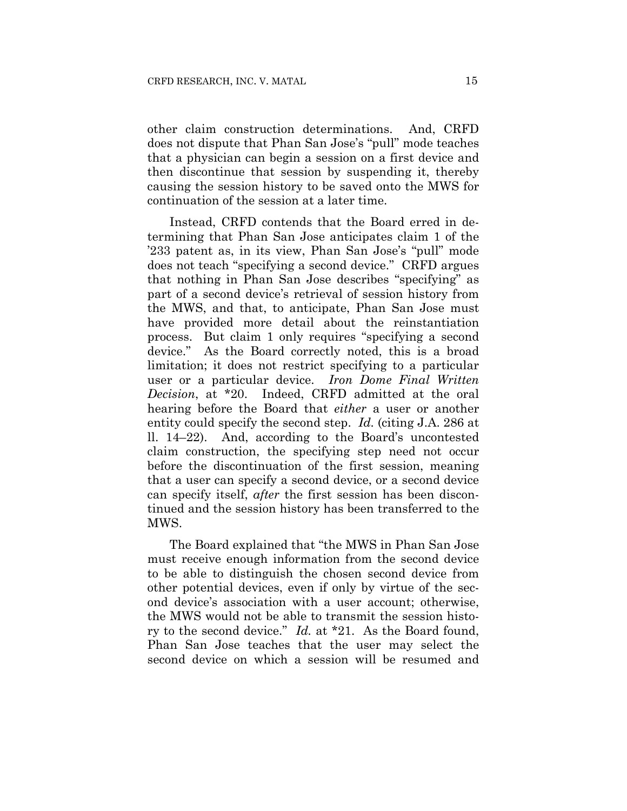other claim construction determinations. And, CRFD does not dispute that Phan San Jose's "pull" mode teaches that a physician can begin a session on a first device and then discontinue that session by suspending it, thereby causing the session history to be saved onto the MWS for continuation of the session at a later time.

Instead, CRFD contends that the Board erred in determining that Phan San Jose anticipates claim 1 of the '233 patent as, in its view, Phan San Jose's "pull" mode does not teach "specifying a second device." CRFD argues that nothing in Phan San Jose describes "specifying" as part of a second device's retrieval of session history from the MWS, and that, to anticipate, Phan San Jose must have provided more detail about the reinstantiation process. But claim 1 only requires "specifying a second device." As the Board correctly noted, this is a broad limitation; it does not restrict specifying to a particular user or a particular device. *Iron Dome Final Written Decision*, at \*20. Indeed, CRFD admitted at the oral hearing before the Board that *either* a user or another entity could specify the second step. *Id.* (citing J.A. 286 at ll. 14–22). And, according to the Board's uncontested claim construction, the specifying step need not occur before the discontinuation of the first session, meaning that a user can specify a second device, or a second device can specify itself, *after* the first session has been discontinued and the session history has been transferred to the MWS.

The Board explained that "the MWS in Phan San Jose must receive enough information from the second device to be able to distinguish the chosen second device from other potential devices, even if only by virtue of the second device's association with a user account; otherwise, the MWS would not be able to transmit the session history to the second device." *Id.* at \*21. As the Board found, Phan San Jose teaches that the user may select the second device on which a session will be resumed and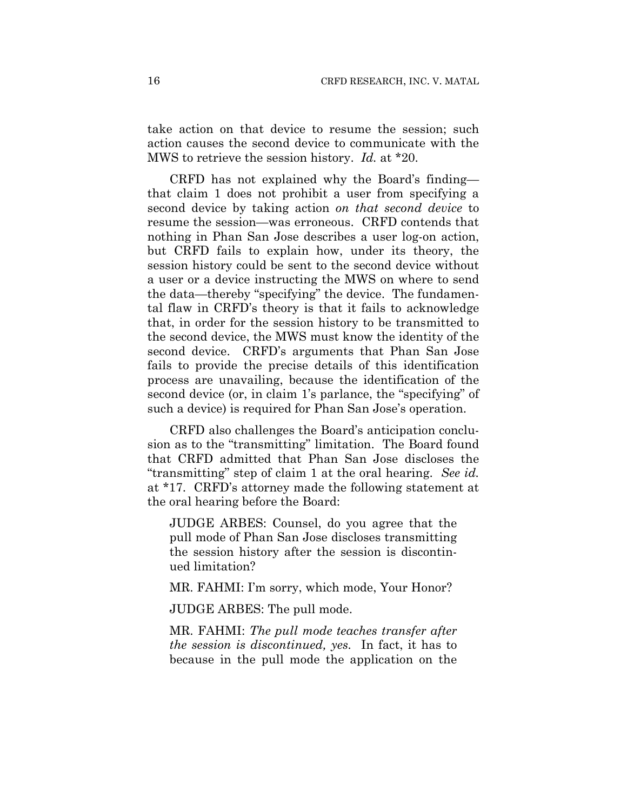take action on that device to resume the session; such action causes the second device to communicate with the MWS to retrieve the session history. *Id.* at \*20.

CRFD has not explained why the Board's finding that claim 1 does not prohibit a user from specifying a second device by taking action *on that second device* to resume the session—was erroneous. CRFD contends that nothing in Phan San Jose describes a user log-on action, but CRFD fails to explain how, under its theory, the session history could be sent to the second device without a user or a device instructing the MWS on where to send the data—thereby "specifying" the device. The fundamental flaw in CRFD's theory is that it fails to acknowledge that, in order for the session history to be transmitted to the second device, the MWS must know the identity of the second device. CRFD's arguments that Phan San Jose fails to provide the precise details of this identification process are unavailing, because the identification of the second device (or, in claim 1's parlance, the "specifying" of such a device) is required for Phan San Jose's operation.

CRFD also challenges the Board's anticipation conclusion as to the "transmitting" limitation. The Board found that CRFD admitted that Phan San Jose discloses the "transmitting" step of claim 1 at the oral hearing. *See id.* at \*17. CRFD's attorney made the following statement at the oral hearing before the Board:

JUDGE ARBES: Counsel, do you agree that the pull mode of Phan San Jose discloses transmitting the session history after the session is discontinued limitation?

MR. FAHMI: I'm sorry, which mode, Your Honor?

JUDGE ARBES: The pull mode.

MR. FAHMI: *The pull mode teaches transfer after the session is discontinued, yes.* In fact, it has to because in the pull mode the application on the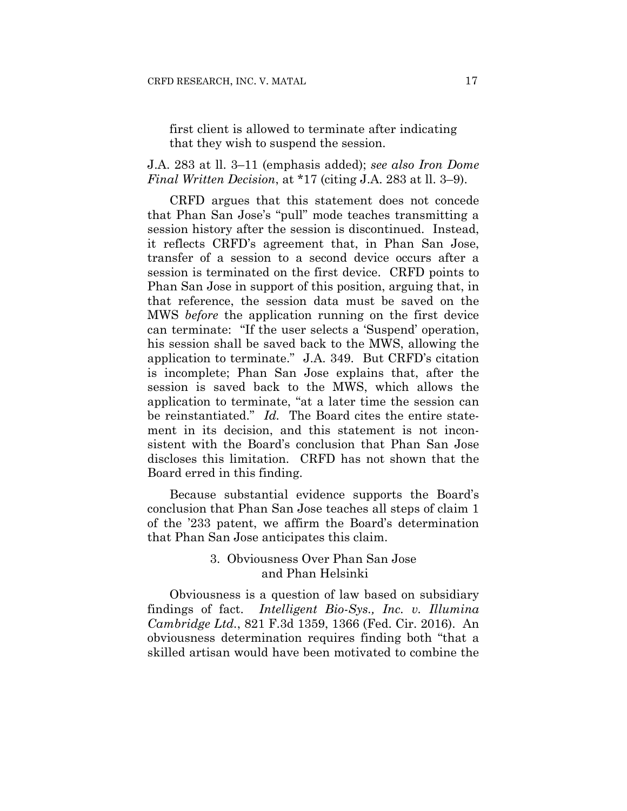# first client is allowed to terminate after indicating that they wish to suspend the session.

## J.A. 283 at ll. 3–11 (emphasis added); *see also Iron Dome Final Written Decision*, at \*17 (citing J.A. 283 at ll. 3–9).

CRFD argues that this statement does not concede that Phan San Jose's "pull" mode teaches transmitting a session history after the session is discontinued. Instead, it reflects CRFD's agreement that, in Phan San Jose, transfer of a session to a second device occurs after a session is terminated on the first device. CRFD points to Phan San Jose in support of this position, arguing that, in that reference, the session data must be saved on the MWS *before* the application running on the first device can terminate: "If the user selects a 'Suspend' operation, his session shall be saved back to the MWS, allowing the application to terminate." J.A. 349. But CRFD's citation is incomplete; Phan San Jose explains that, after the session is saved back to the MWS, which allows the application to terminate, "at a later time the session can be reinstantiated." *Id.* The Board cites the entire statement in its decision, and this statement is not inconsistent with the Board's conclusion that Phan San Jose discloses this limitation. CRFD has not shown that the Board erred in this finding.

Because substantial evidence supports the Board's conclusion that Phan San Jose teaches all steps of claim 1 of the '233 patent, we affirm the Board's determination that Phan San Jose anticipates this claim.

# 3. Obviousness Over Phan San Jose and Phan Helsinki

Obviousness is a question of law based on subsidiary findings of fact. *Intelligent Bio-Sys., Inc. v. Illumina Cambridge Ltd.*, 821 F.3d 1359, 1366 (Fed. Cir. 2016). An obviousness determination requires finding both "that a skilled artisan would have been motivated to combine the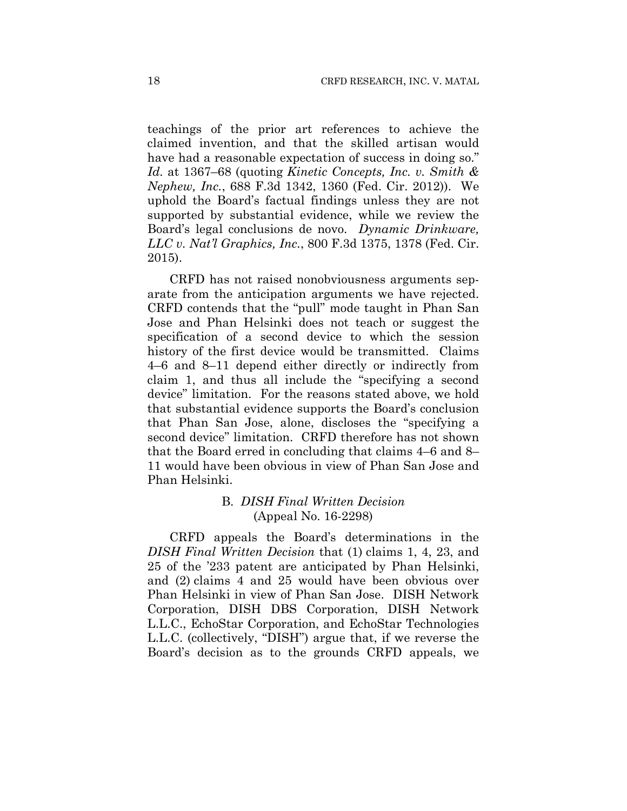teachings of the prior art references to achieve the claimed invention, and that the skilled artisan would have had a reasonable expectation of success in doing so." *Id.* at 1367–68 (quoting *Kinetic Concepts, Inc. v. Smith & Nephew, Inc.*, 688 F.3d 1342, 1360 (Fed. Cir. 2012)). We uphold the Board's factual findings unless they are not supported by substantial evidence, while we review the Board's legal conclusions de novo. *Dynamic Drinkware, LLC v. Nat'l Graphics, Inc.*, 800 F.3d 1375, 1378 (Fed. Cir. 2015).

CRFD has not raised nonobviousness arguments separate from the anticipation arguments we have rejected. CRFD contends that the "pull" mode taught in Phan San Jose and Phan Helsinki does not teach or suggest the specification of a second device to which the session history of the first device would be transmitted. Claims 4–6 and 8–11 depend either directly or indirectly from claim 1, and thus all include the "specifying a second device" limitation. For the reasons stated above, we hold that substantial evidence supports the Board's conclusion that Phan San Jose, alone, discloses the "specifying a second device" limitation. CRFD therefore has not shown that the Board erred in concluding that claims 4–6 and 8– 11 would have been obvious in view of Phan San Jose and Phan Helsinki.

## B. *DISH Final Written Decision* (Appeal No. 16-2298)

CRFD appeals the Board's determinations in the *DISH Final Written Decision* that (1) claims 1, 4, 23, and 25 of the '233 patent are anticipated by Phan Helsinki, and (2) claims 4 and 25 would have been obvious over Phan Helsinki in view of Phan San Jose. DISH Network Corporation, DISH DBS Corporation, DISH Network L.L.C., EchoStar Corporation, and EchoStar Technologies L.L.C. (collectively, "DISH") argue that, if we reverse the Board's decision as to the grounds CRFD appeals, we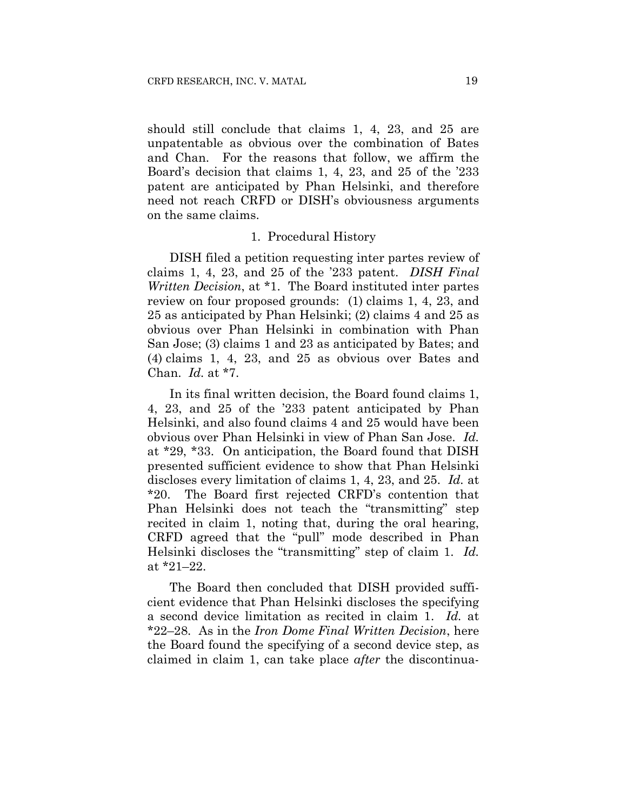should still conclude that claims 1, 4, 23, and 25 are unpatentable as obvious over the combination of Bates and Chan. For the reasons that follow, we affirm the Board's decision that claims 1, 4, 23, and 25 of the '233 patent are anticipated by Phan Helsinki, and therefore need not reach CRFD or DISH's obviousness arguments on the same claims.

#### 1. Procedural History

DISH filed a petition requesting inter partes review of claims 1, 4, 23, and 25 of the '233 patent. *DISH Final Written Decision*, at \*1. The Board instituted inter partes review on four proposed grounds: (1) claims 1, 4, 23, and 25 as anticipated by Phan Helsinki; (2) claims 4 and 25 as obvious over Phan Helsinki in combination with Phan San Jose; (3) claims 1 and 23 as anticipated by Bates; and (4) claims 1, 4, 23, and 25 as obvious over Bates and Chan. *Id.* at \*7.

In its final written decision, the Board found claims 1, 4, 23, and 25 of the '233 patent anticipated by Phan Helsinki, and also found claims 4 and 25 would have been obvious over Phan Helsinki in view of Phan San Jose. *Id.* at \*29, \*33. On anticipation, the Board found that DISH presented sufficient evidence to show that Phan Helsinki discloses every limitation of claims 1, 4, 23, and 25. *Id.* at \*20. The Board first rejected CRFD's contention that Phan Helsinki does not teach the "transmitting" step recited in claim 1, noting that, during the oral hearing, CRFD agreed that the "pull" mode described in Phan Helsinki discloses the "transmitting" step of claim 1. *Id.* at \*21–22.

The Board then concluded that DISH provided sufficient evidence that Phan Helsinki discloses the specifying a second device limitation as recited in claim 1. *Id.* at \*22–28. As in the *Iron Dome Final Written Decision*, here the Board found the specifying of a second device step, as claimed in claim 1, can take place *after* the discontinua-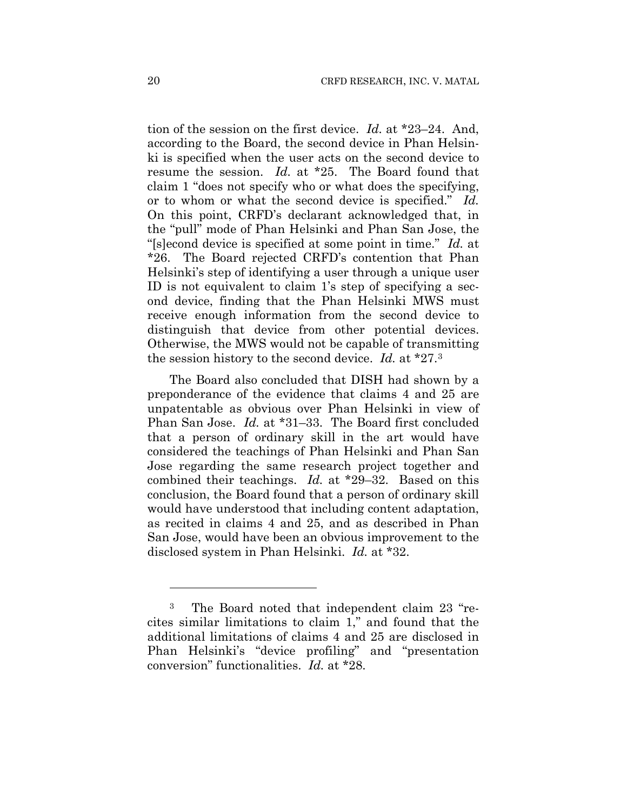tion of the session on the first device. *Id.* at \*23–24. And, according to the Board, the second device in Phan Helsinki is specified when the user acts on the second device to resume the session. *Id.* at \*25. The Board found that claim 1 "does not specify who or what does the specifying, or to whom or what the second device is specified." *Id.* On this point, CRFD's declarant acknowledged that, in the "pull" mode of Phan Helsinki and Phan San Jose, the "[s]econd device is specified at some point in time." *Id.* at \*26. The Board rejected CRFD's contention that Phan Helsinki's step of identifying a user through a unique user ID is not equivalent to claim 1's step of specifying a second device, finding that the Phan Helsinki MWS must receive enough information from the second device to distinguish that device from other potential devices. Otherwise, the MWS would not be capable of transmitting the session history to the second device. *Id.* at \*27.3

The Board also concluded that DISH had shown by a preponderance of the evidence that claims 4 and 25 are unpatentable as obvious over Phan Helsinki in view of Phan San Jose. *Id.* at \*31–33. The Board first concluded that a person of ordinary skill in the art would have considered the teachings of Phan Helsinki and Phan San Jose regarding the same research project together and combined their teachings. *Id.* at \*29–32. Based on this conclusion, the Board found that a person of ordinary skill would have understood that including content adaptation, as recited in claims 4 and 25, and as described in Phan San Jose, would have been an obvious improvement to the disclosed system in Phan Helsinki. *Id.* at \*32.

1

<sup>3</sup> The Board noted that independent claim 23 "recites similar limitations to claim 1," and found that the additional limitations of claims 4 and 25 are disclosed in Phan Helsinki's "device profiling" and "presentation conversion" functionalities. *Id.* at \*28.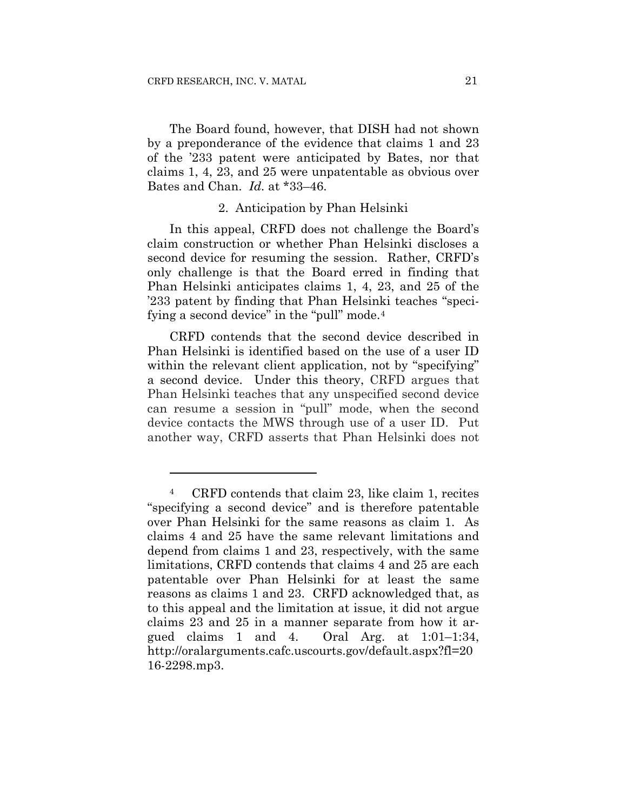<u>.</u>

The Board found, however, that DISH had not shown by a preponderance of the evidence that claims 1 and 23 of the '233 patent were anticipated by Bates, nor that claims 1, 4, 23, and 25 were unpatentable as obvious over Bates and Chan. *Id.* at \*33–46.

## 2. Anticipation by Phan Helsinki

In this appeal, CRFD does not challenge the Board's claim construction or whether Phan Helsinki discloses a second device for resuming the session. Rather, CRFD's only challenge is that the Board erred in finding that Phan Helsinki anticipates claims 1, 4, 23, and 25 of the '233 patent by finding that Phan Helsinki teaches "specifying a second device" in the "pull" mode.<sup>4</sup>

CRFD contends that the second device described in Phan Helsinki is identified based on the use of a user ID within the relevant client application, not by "specifying" a second device. Under this theory, CRFD argues that Phan Helsinki teaches that any unspecified second device can resume a session in "pull" mode, when the second device contacts the MWS through use of a user ID. Put another way, CRFD asserts that Phan Helsinki does not

<sup>4</sup> CRFD contends that claim 23, like claim 1, recites "specifying a second device" and is therefore patentable over Phan Helsinki for the same reasons as claim 1. As claims 4 and 25 have the same relevant limitations and depend from claims 1 and 23, respectively, with the same limitations, CRFD contends that claims 4 and 25 are each patentable over Phan Helsinki for at least the same reasons as claims 1 and 23. CRFD acknowledged that, as to this appeal and the limitation at issue, it did not argue claims 23 and 25 in a manner separate from how it argued claims 1 and 4. Oral Arg. at 1:01–1:34, http://oralarguments.cafc.uscourts.gov/default.aspx?fl=20 16-2298.mp3.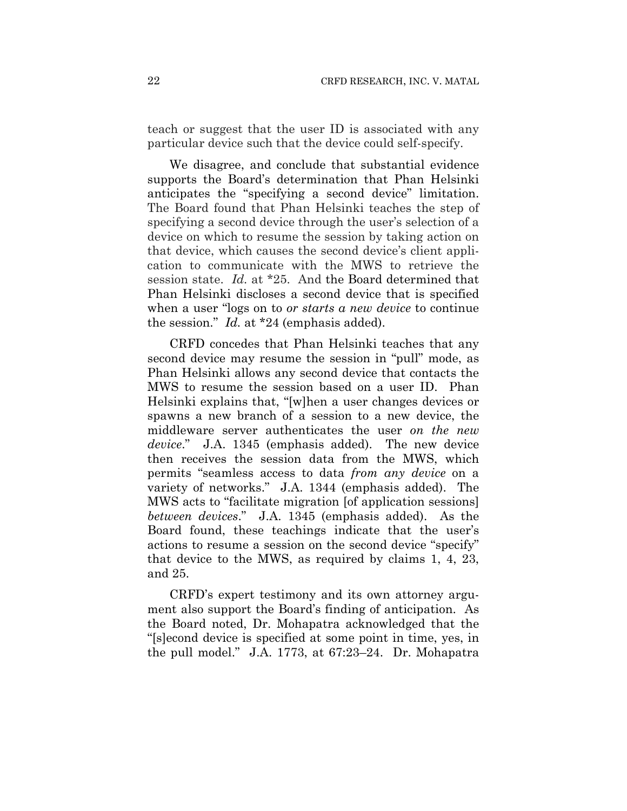teach or suggest that the user ID is associated with any particular device such that the device could self-specify.

We disagree, and conclude that substantial evidence supports the Board's determination that Phan Helsinki anticipates the "specifying a second device" limitation. The Board found that Phan Helsinki teaches the step of specifying a second device through the user's selection of a device on which to resume the session by taking action on that device, which causes the second device's client application to communicate with the MWS to retrieve the session state. *Id.* at \*25. And the Board determined that Phan Helsinki discloses a second device that is specified when a user "logs on to *or starts a new device* to continue the session." *Id.* at \*24 (emphasis added).

CRFD concedes that Phan Helsinki teaches that any second device may resume the session in "pull" mode, as Phan Helsinki allows any second device that contacts the MWS to resume the session based on a user ID. Phan Helsinki explains that, "[w]hen a user changes devices or spawns a new branch of a session to a new device, the middleware server authenticates the user *on the new device*." J.A. 1345 (emphasis added). The new device then receives the session data from the MWS, which permits "seamless access to data *from any device* on a variety of networks." J.A. 1344 (emphasis added). The MWS acts to "facilitate migration [of application sessions] *between devices*." J.A. 1345 (emphasis added). As the Board found, these teachings indicate that the user's actions to resume a session on the second device "specify" that device to the MWS, as required by claims 1, 4, 23, and 25.

CRFD's expert testimony and its own attorney argument also support the Board's finding of anticipation. As the Board noted, Dr. Mohapatra acknowledged that the "[s]econd device is specified at some point in time, yes, in the pull model." J.A. 1773, at 67:23–24. Dr. Mohapatra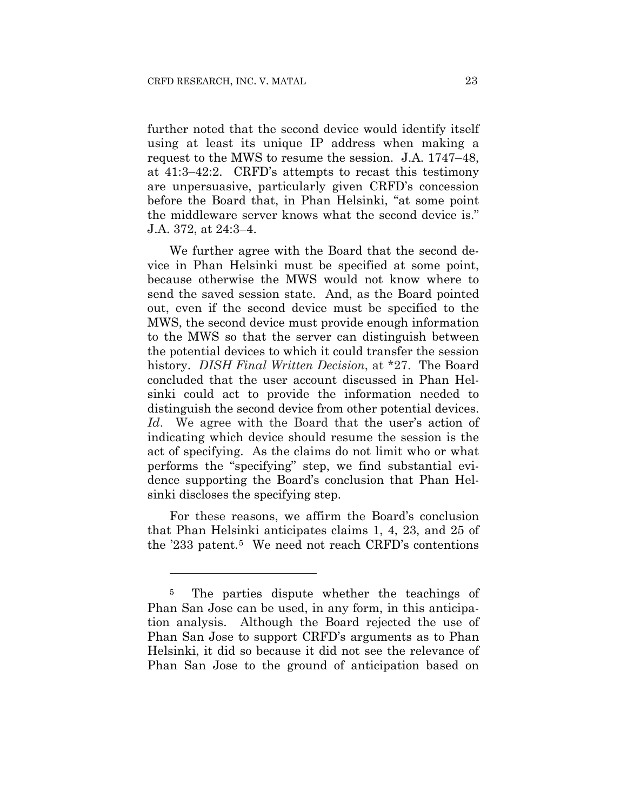further noted that the second device would identify itself using at least its unique IP address when making a request to the MWS to resume the session. J.A. 1747–48, at 41:3–42:2. CRFD's attempts to recast this testimony are unpersuasive, particularly given CRFD's concession before the Board that, in Phan Helsinki, "at some point the middleware server knows what the second device is." J.A. 372, at 24:3–4.

We further agree with the Board that the second device in Phan Helsinki must be specified at some point, because otherwise the MWS would not know where to send the saved session state. And, as the Board pointed out, even if the second device must be specified to the MWS, the second device must provide enough information to the MWS so that the server can distinguish between the potential devices to which it could transfer the session history. *DISH Final Written Decision*, at \*27. The Board concluded that the user account discussed in Phan Helsinki could act to provide the information needed to distinguish the second device from other potential devices. *Id*. We agree with the Board that the user's action of indicating which device should resume the session is the act of specifying. As the claims do not limit who or what performs the "specifying" step, we find substantial evidence supporting the Board's conclusion that Phan Helsinki discloses the specifying step.

For these reasons, we affirm the Board's conclusion that Phan Helsinki anticipates claims 1, 4, 23, and 25 of the '233 patent.5 We need not reach CRFD's contentions

<u>.</u>

<sup>&</sup>lt;sup>5</sup> The parties dispute whether the teachings of Phan San Jose can be used, in any form, in this anticipation analysis. Although the Board rejected the use of Phan San Jose to support CRFD's arguments as to Phan Helsinki, it did so because it did not see the relevance of Phan San Jose to the ground of anticipation based on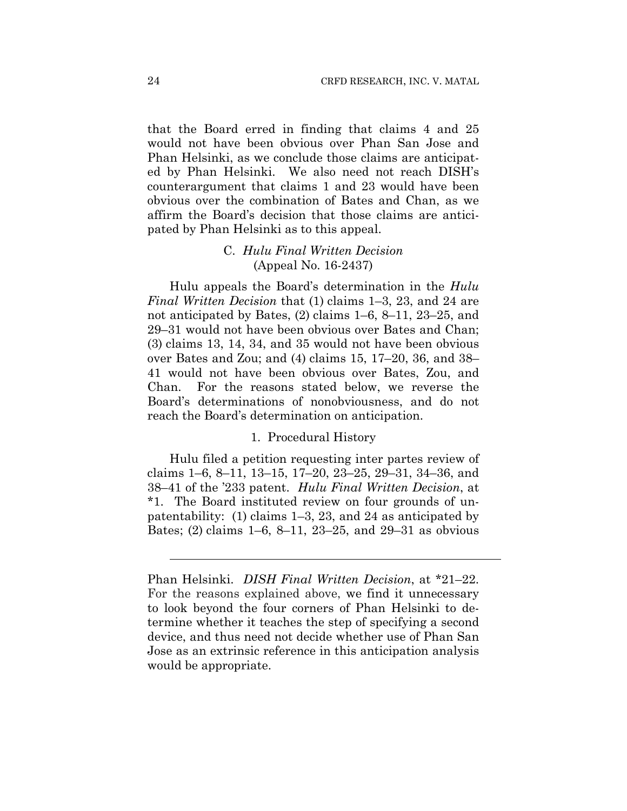that the Board erred in finding that claims 4 and 25 would not have been obvious over Phan San Jose and Phan Helsinki, as we conclude those claims are anticipated by Phan Helsinki. We also need not reach DISH's counterargument that claims 1 and 23 would have been obvious over the combination of Bates and Chan, as we affirm the Board's decision that those claims are anticipated by Phan Helsinki as to this appeal.

## C. *Hulu Final Written Decision*  (Appeal No. 16-2437)

Hulu appeals the Board's determination in the *Hulu Final Written Decision* that (1) claims 1–3, 23, and 24 are not anticipated by Bates, (2) claims 1–6, 8–11, 23–25, and 29–31 would not have been obvious over Bates and Chan; (3) claims 13, 14, 34, and 35 would not have been obvious over Bates and Zou; and (4) claims 15, 17–20, 36, and 38– 41 would not have been obvious over Bates, Zou, and Chan. For the reasons stated below, we reverse the Board's determinations of nonobviousness, and do not reach the Board's determination on anticipation.

#### 1. Procedural History

Hulu filed a petition requesting inter partes review of claims 1–6, 8–11, 13–15, 17–20, 23–25, 29–31, 34–36, and 38–41 of the '233 patent. *Hulu Final Written Decision*, at \*1. The Board instituted review on four grounds of unpatentability: (1) claims 1–3, 23, and 24 as anticipated by Bates; (2) claims 1–6, 8–11, 23–25, and 29–31 as obvious

 $\overline{a}$ 

Phan Helsinki. *DISH Final Written Decision*, at \*21–22. For the reasons explained above, we find it unnecessary to look beyond the four corners of Phan Helsinki to determine whether it teaches the step of specifying a second device, and thus need not decide whether use of Phan San Jose as an extrinsic reference in this anticipation analysis would be appropriate.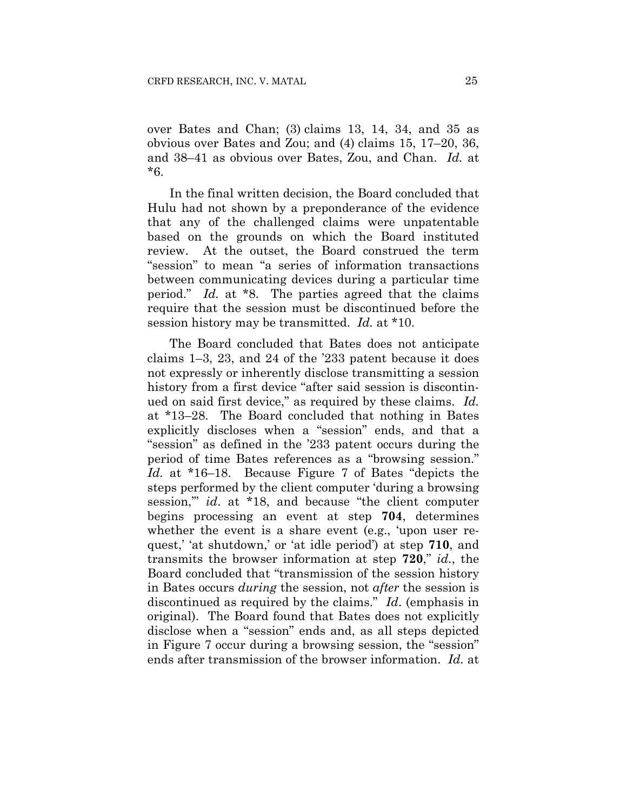over Bates and Chan; (3) claims 13, 14, 34, and 35 as obvious over Bates and Zou; and (4) claims 15, 17–20, 36, and 38–41 as obvious over Bates, Zou, and Chan. *Id.* at \*6.

In the final written decision, the Board concluded that Hulu had not shown by a preponderance of the evidence that any of the challenged claims were unpatentable based on the grounds on which the Board instituted review. At the outset, the Board construed the term "session" to mean "a series of information transactions between communicating devices during a particular time period." *Id.* at \*8. The parties agreed that the claims require that the session must be discontinued before the session history may be transmitted. *Id.* at \*10.

The Board concluded that Bates does not anticipate claims 1–3, 23, and 24 of the '233 patent because it does not expressly or inherently disclose transmitting a session history from a first device "after said session is discontinued on said first device," as required by these claims. *Id.*  at \*13–28. The Board concluded that nothing in Bates explicitly discloses when a "session" ends, and that a "session" as defined in the '233 patent occurs during the period of time Bates references as a "browsing session." *Id.* at \*16–18. Because Figure 7 of Bates "depicts the steps performed by the client computer 'during a browsing session,'" *id*. at \*18, and because "the client computer begins processing an event at step **704**, determines whether the event is a share event (e.g., 'upon user request,' 'at shutdown,' or 'at idle period') at step **710**, and transmits the browser information at step **720**," *id.*, the Board concluded that "transmission of the session history in Bates occurs *during* the session, not *after* the session is discontinued as required by the claims." *Id*. (emphasis in original). The Board found that Bates does not explicitly disclose when a "session" ends and, as all steps depicted in Figure 7 occur during a browsing session, the "session" ends after transmission of the browser information. *Id.* at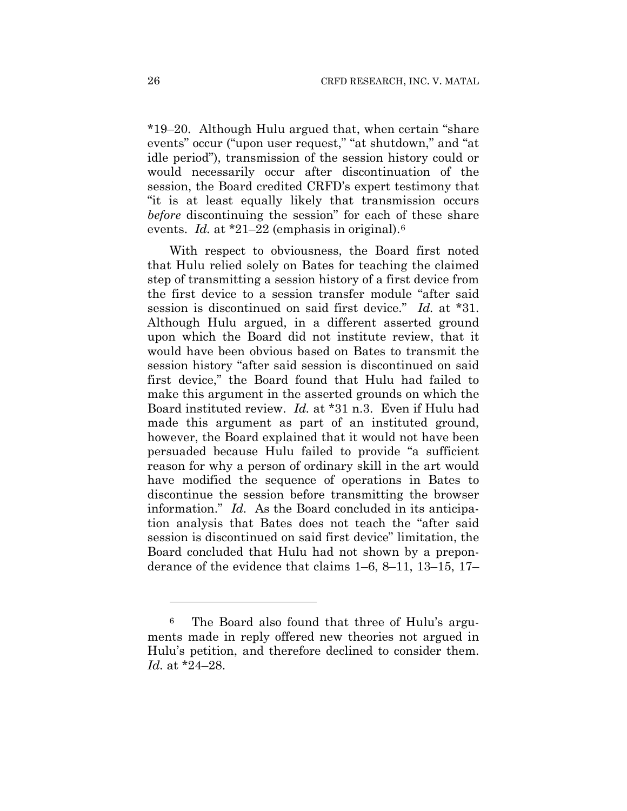\*19–20. Although Hulu argued that, when certain "share events" occur ("upon user request," "at shutdown," and "at idle period"), transmission of the session history could or would necessarily occur after discontinuation of the session, the Board credited CRFD's expert testimony that "it is at least equally likely that transmission occurs *before* discontinuing the session" for each of these share events. *Id.* at \*21–22 (emphasis in original).6

With respect to obviousness, the Board first noted that Hulu relied solely on Bates for teaching the claimed step of transmitting a session history of a first device from the first device to a session transfer module "after said session is discontinued on said first device." *Id.* at \*31. Although Hulu argued, in a different asserted ground upon which the Board did not institute review, that it would have been obvious based on Bates to transmit the session history "after said session is discontinued on said first device," the Board found that Hulu had failed to make this argument in the asserted grounds on which the Board instituted review. *Id.* at \*31 n.3. Even if Hulu had made this argument as part of an instituted ground, however, the Board explained that it would not have been persuaded because Hulu failed to provide "a sufficient reason for why a person of ordinary skill in the art would have modified the sequence of operations in Bates to discontinue the session before transmitting the browser information." *Id.* As the Board concluded in its anticipation analysis that Bates does not teach the "after said session is discontinued on said first device" limitation, the Board concluded that Hulu had not shown by a preponderance of the evidence that claims 1–6, 8–11, 13–15, 17–

<u>.</u>

<sup>6</sup> The Board also found that three of Hulu's arguments made in reply offered new theories not argued in Hulu's petition, and therefore declined to consider them. *Id.* at \*24–28.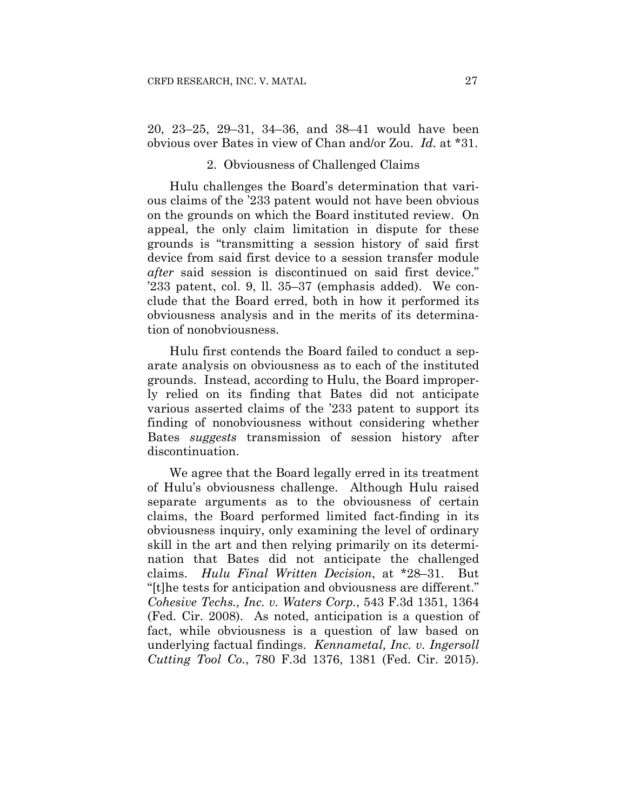20, 23–25, 29–31, 34–36, and 38–41 would have been obvious over Bates in view of Chan and/or Zou. *Id.* at \*31.

#### 2. Obviousness of Challenged Claims

Hulu challenges the Board's determination that various claims of the '233 patent would not have been obvious on the grounds on which the Board instituted review. On appeal, the only claim limitation in dispute for these grounds is "transmitting a session history of said first device from said first device to a session transfer module *after* said session is discontinued on said first device." '233 patent, col. 9, ll. 35–37 (emphasis added). We conclude that the Board erred, both in how it performed its obviousness analysis and in the merits of its determination of nonobviousness.

Hulu first contends the Board failed to conduct a separate analysis on obviousness as to each of the instituted grounds. Instead, according to Hulu, the Board improperly relied on its finding that Bates did not anticipate various asserted claims of the '233 patent to support its finding of nonobviousness without considering whether Bates *suggests* transmission of session history after discontinuation.

We agree that the Board legally erred in its treatment of Hulu's obviousness challenge. Although Hulu raised separate arguments as to the obviousness of certain claims, the Board performed limited fact-finding in its obviousness inquiry, only examining the level of ordinary skill in the art and then relying primarily on its determination that Bates did not anticipate the challenged claims. *Hulu Final Written Decision*, at \*28–31. But "[t]he tests for anticipation and obviousness are different." *Cohesive Techs., Inc. v. Waters Corp.*, 543 F.3d 1351, 1364 (Fed. Cir. 2008). As noted, anticipation is a question of fact, while obviousness is a question of law based on underlying factual findings. *Kennametal, Inc. v. Ingersoll Cutting Tool Co.*, 780 F.3d 1376, 1381 (Fed. Cir. 2015).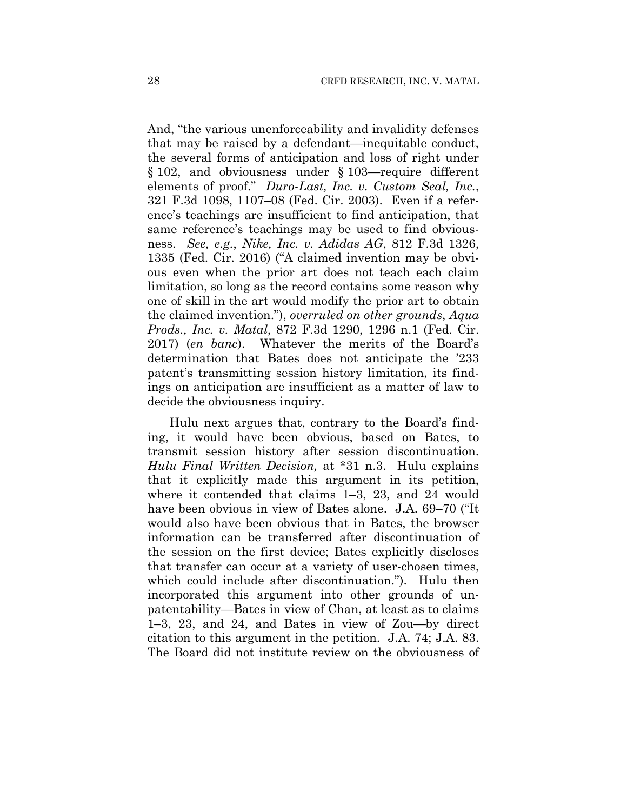And, "the various unenforceability and invalidity defenses that may be raised by a defendant—inequitable conduct, the several forms of anticipation and loss of right under § 102, and obviousness under § 103—require different elements of proof." *Duro-Last, Inc. v. Custom Seal, Inc.*, 321 F.3d 1098, 1107–08 (Fed. Cir. 2003). Even if a reference's teachings are insufficient to find anticipation, that same reference's teachings may be used to find obviousness. *See, e.g.*, *Nike, Inc. v. Adidas AG*, 812 F.3d 1326, 1335 (Fed. Cir. 2016) ("A claimed invention may be obvious even when the prior art does not teach each claim limitation, so long as the record contains some reason why one of skill in the art would modify the prior art to obtain the claimed invention."), *overruled on other grounds*, *Aqua Prods., Inc. v. Matal*, 872 F.3d 1290, 1296 n.1 (Fed. Cir. 2017) (*en banc*). Whatever the merits of the Board's determination that Bates does not anticipate the '233 patent's transmitting session history limitation, its findings on anticipation are insufficient as a matter of law to decide the obviousness inquiry.

Hulu next argues that, contrary to the Board's finding, it would have been obvious, based on Bates, to transmit session history after session discontinuation. *Hulu Final Written Decision,* at \*31 n.3. Hulu explains that it explicitly made this argument in its petition, where it contended that claims 1–3, 23, and 24 would have been obvious in view of Bates alone. J.A. 69–70 ("It would also have been obvious that in Bates, the browser information can be transferred after discontinuation of the session on the first device; Bates explicitly discloses that transfer can occur at a variety of user-chosen times, which could include after discontinuation."). Hulu then incorporated this argument into other grounds of unpatentability—Bates in view of Chan, at least as to claims 1–3, 23, and 24, and Bates in view of Zou—by direct citation to this argument in the petition. J.A. 74; J.A. 83. The Board did not institute review on the obviousness of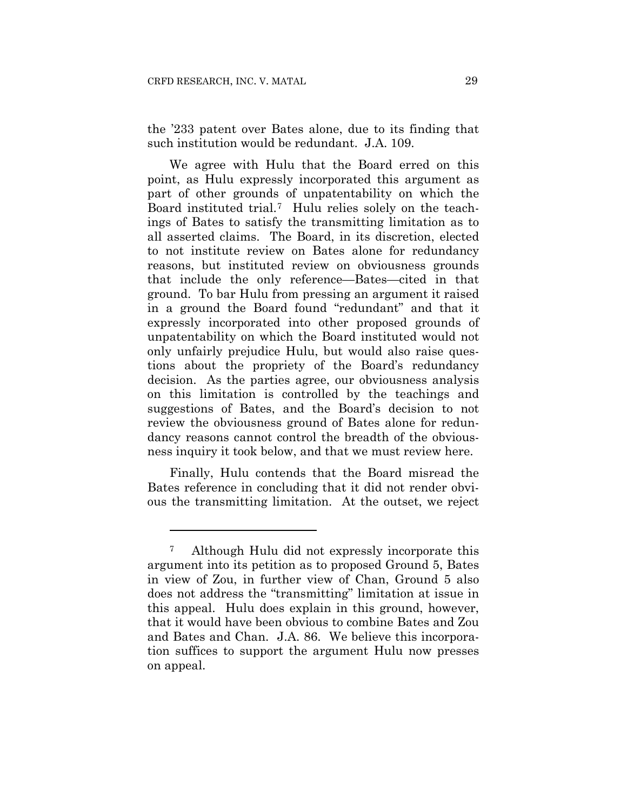<u>.</u>

the '233 patent over Bates alone, due to its finding that such institution would be redundant. J.A. 109.

We agree with Hulu that the Board erred on this point, as Hulu expressly incorporated this argument as part of other grounds of unpatentability on which the Board instituted trial.7 Hulu relies solely on the teachings of Bates to satisfy the transmitting limitation as to all asserted claims. The Board, in its discretion, elected to not institute review on Bates alone for redundancy reasons, but instituted review on obviousness grounds that include the only reference—Bates—cited in that ground. To bar Hulu from pressing an argument it raised in a ground the Board found "redundant" and that it expressly incorporated into other proposed grounds of unpatentability on which the Board instituted would not only unfairly prejudice Hulu, but would also raise questions about the propriety of the Board's redundancy decision. As the parties agree, our obviousness analysis on this limitation is controlled by the teachings and suggestions of Bates, and the Board's decision to not review the obviousness ground of Bates alone for redundancy reasons cannot control the breadth of the obviousness inquiry it took below, and that we must review here.

Finally, Hulu contends that the Board misread the Bates reference in concluding that it did not render obvious the transmitting limitation. At the outset, we reject

<sup>7</sup> Although Hulu did not expressly incorporate this argument into its petition as to proposed Ground 5, Bates in view of Zou, in further view of Chan, Ground 5 also does not address the "transmitting" limitation at issue in this appeal. Hulu does explain in this ground, however, that it would have been obvious to combine Bates and Zou and Bates and Chan. J.A. 86. We believe this incorporation suffices to support the argument Hulu now presses on appeal.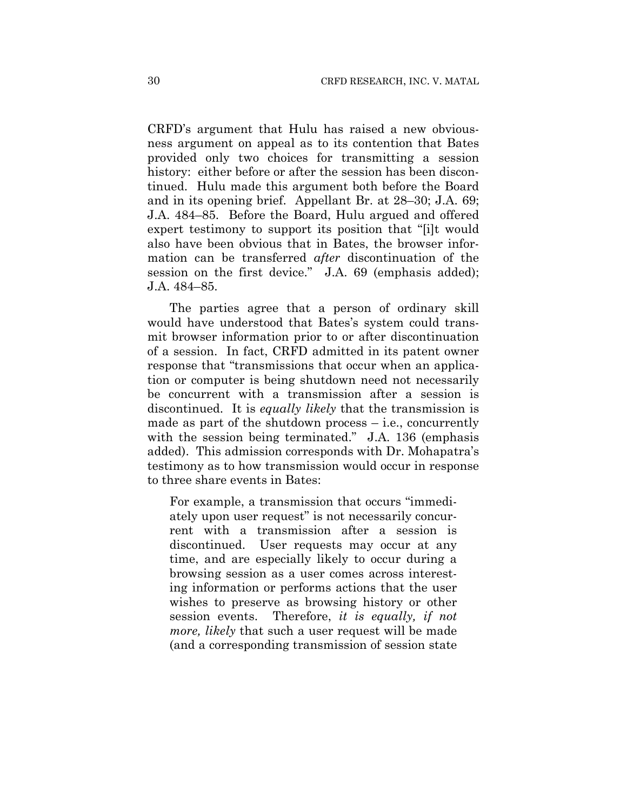CRFD's argument that Hulu has raised a new obviousness argument on appeal as to its contention that Bates provided only two choices for transmitting a session history: either before or after the session has been discontinued. Hulu made this argument both before the Board and in its opening brief. Appellant Br. at 28–30; J.A. 69; J.A. 484–85. Before the Board, Hulu argued and offered expert testimony to support its position that "[i]t would also have been obvious that in Bates, the browser information can be transferred *after* discontinuation of the session on the first device." J.A. 69 (emphasis added); J.A. 484–85.

The parties agree that a person of ordinary skill would have understood that Bates's system could transmit browser information prior to or after discontinuation of a session. In fact, CRFD admitted in its patent owner response that "transmissions that occur when an application or computer is being shutdown need not necessarily be concurrent with a transmission after a session is discontinued. It is *equally likely* that the transmission is made as part of the shutdown process  $-$  i.e., concurrently with the session being terminated." J.A. 136 (emphasis added). This admission corresponds with Dr. Mohapatra's testimony as to how transmission would occur in response to three share events in Bates:

For example, a transmission that occurs "immediately upon user request" is not necessarily concurrent with a transmission after a session is discontinued. User requests may occur at any time, and are especially likely to occur during a browsing session as a user comes across interesting information or performs actions that the user wishes to preserve as browsing history or other session events. Therefore, *it is equally, if not more, likely* that such a user request will be made (and a corresponding transmission of session state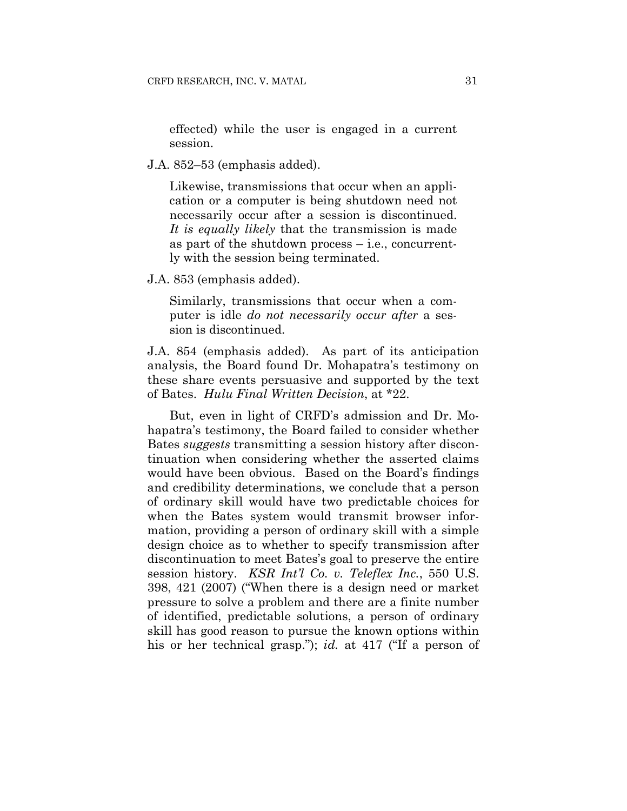effected) while the user is engaged in a current session.

J.A. 852–53 (emphasis added).

Likewise, transmissions that occur when an application or a computer is being shutdown need not necessarily occur after a session is discontinued. *It is equally likely* that the transmission is made as part of the shutdown process  $-$  i.e., concurrently with the session being terminated.

J.A. 853 (emphasis added).

Similarly, transmissions that occur when a computer is idle *do not necessarily occur after* a session is discontinued.

J.A. 854 (emphasis added). As part of its anticipation analysis, the Board found Dr. Mohapatra's testimony on these share events persuasive and supported by the text of Bates. *Hulu Final Written Decision*, at \*22.

But, even in light of CRFD's admission and Dr. Mohapatra's testimony, the Board failed to consider whether Bates *suggests* transmitting a session history after discontinuation when considering whether the asserted claims would have been obvious. Based on the Board's findings and credibility determinations, we conclude that a person of ordinary skill would have two predictable choices for when the Bates system would transmit browser information, providing a person of ordinary skill with a simple design choice as to whether to specify transmission after discontinuation to meet Bates's goal to preserve the entire session history. *KSR Int'l Co. v. Teleflex Inc.*, 550 U.S. 398, 421 (2007) ("When there is a design need or market pressure to solve a problem and there are a finite number of identified, predictable solutions, a person of ordinary skill has good reason to pursue the known options within his or her technical grasp."); *id.* at 417 ("If a person of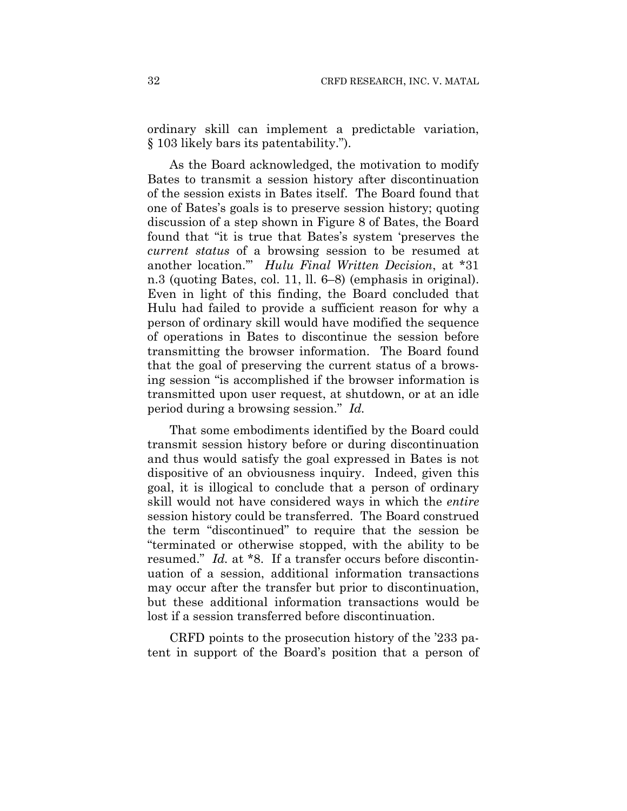ordinary skill can implement a predictable variation, § 103 likely bars its patentability.").

As the Board acknowledged, the motivation to modify Bates to transmit a session history after discontinuation of the session exists in Bates itself. The Board found that one of Bates's goals is to preserve session history; quoting discussion of a step shown in Figure 8 of Bates, the Board found that "it is true that Bates's system 'preserves the *current status* of a browsing session to be resumed at another location.'" *Hulu Final Written Decision*, at \*31 n.3 (quoting Bates, col. 11, ll. 6–8) (emphasis in original). Even in light of this finding, the Board concluded that Hulu had failed to provide a sufficient reason for why a person of ordinary skill would have modified the sequence of operations in Bates to discontinue the session before transmitting the browser information. The Board found that the goal of preserving the current status of a browsing session "is accomplished if the browser information is transmitted upon user request, at shutdown, or at an idle period during a browsing session." *Id.*

That some embodiments identified by the Board could transmit session history before or during discontinuation and thus would satisfy the goal expressed in Bates is not dispositive of an obviousness inquiry. Indeed, given this goal, it is illogical to conclude that a person of ordinary skill would not have considered ways in which the *entire* session history could be transferred. The Board construed the term "discontinued" to require that the session be "terminated or otherwise stopped, with the ability to be resumed." *Id.* at \*8. If a transfer occurs before discontinuation of a session, additional information transactions may occur after the transfer but prior to discontinuation, but these additional information transactions would be lost if a session transferred before discontinuation.

CRFD points to the prosecution history of the '233 patent in support of the Board's position that a person of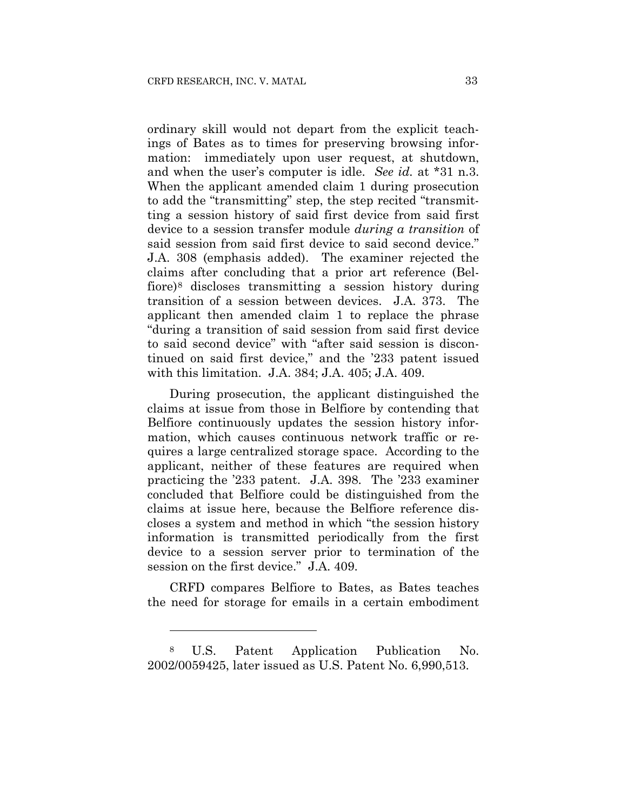ordinary skill would not depart from the explicit teachings of Bates as to times for preserving browsing information: immediately upon user request, at shutdown, and when the user's computer is idle. *See id.* at \*31 n.3. When the applicant amended claim 1 during prosecution to add the "transmitting" step, the step recited "transmitting a session history of said first device from said first device to a session transfer module *during a transition* of said session from said first device to said second device." J.A. 308 (emphasis added). The examiner rejected the claims after concluding that a prior art reference (Belfiore)8 discloses transmitting a session history during transition of a session between devices. J.A. 373. The applicant then amended claim 1 to replace the phrase "during a transition of said session from said first device to said second device" with "after said session is discontinued on said first device," and the '233 patent issued with this limitation. J.A. 384; J.A. 405; J.A. 409.

During prosecution, the applicant distinguished the claims at issue from those in Belfiore by contending that Belfiore continuously updates the session history information, which causes continuous network traffic or requires a large centralized storage space. According to the applicant, neither of these features are required when practicing the '233 patent. J.A. 398. The '233 examiner concluded that Belfiore could be distinguished from the claims at issue here, because the Belfiore reference discloses a system and method in which "the session history information is transmitted periodically from the first device to a session server prior to termination of the session on the first device." J.A. 409.

CRFD compares Belfiore to Bates, as Bates teaches the need for storage for emails in a certain embodiment

1

<sup>8</sup> U.S. Patent Application Publication No. 2002/0059425, later issued as U.S. Patent No. 6,990,513.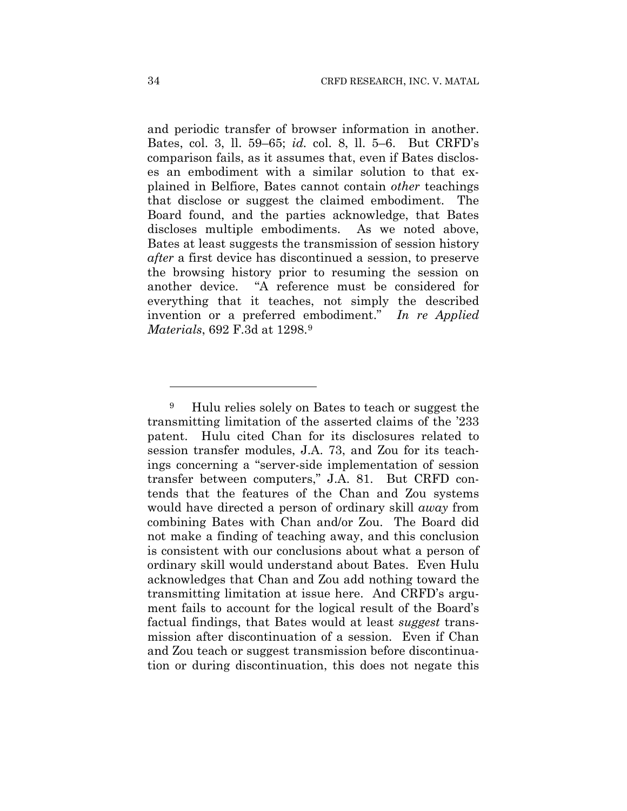and periodic transfer of browser information in another. Bates, col. 3, ll. 59–65; *id.* col. 8, ll. 5–6. But CRFD's comparison fails, as it assumes that, even if Bates discloses an embodiment with a similar solution to that explained in Belfiore, Bates cannot contain *other* teachings that disclose or suggest the claimed embodiment. The Board found, and the parties acknowledge, that Bates discloses multiple embodiments. As we noted above, Bates at least suggests the transmission of session history *after* a first device has discontinued a session, to preserve the browsing history prior to resuming the session on another device. "A reference must be considered for everything that it teaches, not simply the described invention or a preferred embodiment." *In re Applied Materials*, 692 F.3d at 1298.9

<u>.</u>

<sup>9</sup> Hulu relies solely on Bates to teach or suggest the transmitting limitation of the asserted claims of the '233 patent. Hulu cited Chan for its disclosures related to session transfer modules, J.A. 73, and Zou for its teachings concerning a "server-side implementation of session transfer between computers," J.A. 81. But CRFD contends that the features of the Chan and Zou systems would have directed a person of ordinary skill *away* from combining Bates with Chan and/or Zou. The Board did not make a finding of teaching away, and this conclusion is consistent with our conclusions about what a person of ordinary skill would understand about Bates. Even Hulu acknowledges that Chan and Zou add nothing toward the transmitting limitation at issue here. And CRFD's argument fails to account for the logical result of the Board's factual findings, that Bates would at least *suggest* transmission after discontinuation of a session. Even if Chan and Zou teach or suggest transmission before discontinuation or during discontinuation, this does not negate this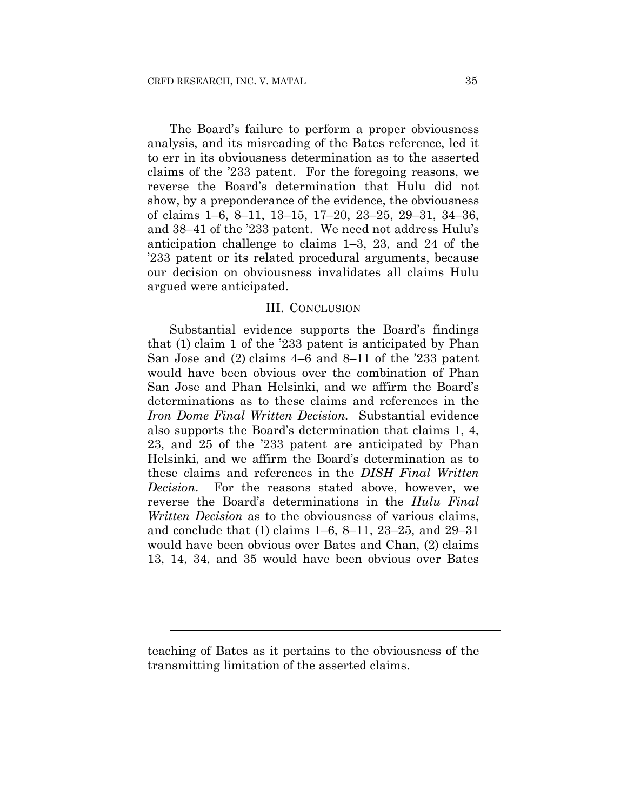The Board's failure to perform a proper obviousness analysis, and its misreading of the Bates reference, led it to err in its obviousness determination as to the asserted claims of the '233 patent. For the foregoing reasons, we reverse the Board's determination that Hulu did not show, by a preponderance of the evidence, the obviousness of claims 1–6, 8–11, 13–15, 17–20, 23–25, 29–31, 34–36, and 38–41 of the '233 patent. We need not address Hulu's anticipation challenge to claims 1–3, 23, and 24 of the '233 patent or its related procedural arguments, because our decision on obviousness invalidates all claims Hulu argued were anticipated.

#### III. CONCLUSION

Substantial evidence supports the Board's findings that (1) claim 1 of the '233 patent is anticipated by Phan San Jose and (2) claims 4–6 and 8–11 of the '233 patent would have been obvious over the combination of Phan San Jose and Phan Helsinki, and we affirm the Board's determinations as to these claims and references in the *Iron Dome Final Written Decision.* Substantial evidence also supports the Board's determination that claims 1, 4, 23, and 25 of the '233 patent are anticipated by Phan Helsinki, and we affirm the Board's determination as to these claims and references in the *DISH Final Written Decision*. For the reasons stated above, however, we reverse the Board's determinations in the *Hulu Final Written Decision* as to the obviousness of various claims, and conclude that (1) claims 1–6, 8–11, 23–25, and 29–31 would have been obvious over Bates and Chan, (2) claims 13, 14, 34, and 35 would have been obvious over Bates

teaching of Bates as it pertains to the obviousness of the transmitting limitation of the asserted claims.

l